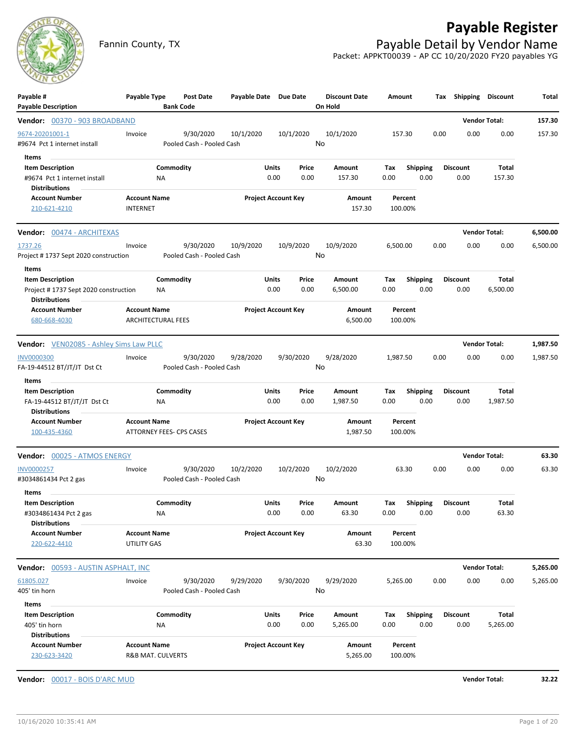# **Payable Register**



Fannin County, TX **Payable Detail by Vendor Name** Packet: APPKT00039 - AP CC 10/20/2020 FY20 payables YG

| Payable #<br><b>Payable Description</b>                                                  | Payable Type                                    | <b>Bank Code</b> | Post Date                              | Payable Date Due Date      |                      |               | <b>Discount Date</b><br>On Hold | Amount             |                         |      | Tax Shipping Discount   |                   | Total    |
|------------------------------------------------------------------------------------------|-------------------------------------------------|------------------|----------------------------------------|----------------------------|----------------------|---------------|---------------------------------|--------------------|-------------------------|------|-------------------------|-------------------|----------|
| Vendor: 00370 - 903 BROADBAND                                                            |                                                 |                  |                                        |                            |                      |               |                                 |                    |                         |      | <b>Vendor Total:</b>    |                   | 157.30   |
| 9674-20201001-1<br>#9674 Pct 1 internet install                                          | Invoice                                         |                  | 9/30/2020<br>Pooled Cash - Pooled Cash | 10/1/2020                  |                      | 10/1/2020     | 10/1/2020<br>No                 | 157.30             |                         | 0.00 | 0.00                    | 0.00              | 157.30   |
| Items<br><b>Item Description</b><br>#9674 Pct 1 internet install<br><b>Distributions</b> |                                                 | Commodity<br>ΝA  |                                        |                            | Units<br>0.00        | Price<br>0.00 | Amount<br>157.30                | Tax<br>0.00        | <b>Shipping</b><br>0.00 |      | <b>Discount</b><br>0.00 | Total<br>157.30   |          |
| <b>Account Number</b><br>210-621-4210                                                    | <b>Account Name</b><br><b>INTERNET</b>          |                  |                                        | <b>Project Account Key</b> |                      |               | Amount<br>157.30                | Percent<br>100.00% |                         |      |                         |                   |          |
| <b>Vendor:</b> 00474 - ARCHITEXAS                                                        |                                                 |                  |                                        |                            |                      |               |                                 |                    |                         |      | <b>Vendor Total:</b>    |                   | 6,500.00 |
| 1737.26<br>Project #1737 Sept 2020 construction                                          | Invoice                                         |                  | 9/30/2020<br>Pooled Cash - Pooled Cash | 10/9/2020                  |                      | 10/9/2020     | 10/9/2020<br>No                 | 6,500.00           |                         | 0.00 | 0.00                    | 0.00              | 6,500.00 |
| Items<br><b>Item Description</b><br>Project #1737 Sept 2020 construction                 |                                                 | Commodity<br>ΝA  |                                        |                            | Units<br>0.00        | Price<br>0.00 | Amount<br>6,500.00              | Тах<br>0.00        | <b>Shipping</b><br>0.00 |      | <b>Discount</b><br>0.00 | Total<br>6,500.00 |          |
| <b>Distributions</b><br><b>Account Number</b><br>680-668-4030                            | <b>Account Name</b><br>ARCHITECTURAL FEES       |                  |                                        | <b>Project Account Key</b> |                      |               | Amount<br>6,500.00              | Percent<br>100.00% |                         |      |                         |                   |          |
| <b>Vendor:</b> VEN02085 - Ashley Sims Law PLLC                                           |                                                 |                  |                                        |                            |                      |               |                                 |                    |                         |      | <b>Vendor Total:</b>    |                   | 1,987.50 |
| <b>INV0000300</b><br>FA-19-44512 BT/JT/JT Dst Ct                                         | Invoice                                         |                  | 9/30/2020<br>Pooled Cash - Pooled Cash | 9/28/2020                  |                      | 9/30/2020     | 9/28/2020<br>No                 | 1,987.50           |                         | 0.00 | 0.00                    | 0.00              | 1,987.50 |
| Items<br><b>Item Description</b><br>FA-19-44512 BT/JT/JT Dst Ct<br><b>Distributions</b>  |                                                 | Commodity<br>NA. |                                        |                            | Units<br>0.00        | Price<br>0.00 | Amount<br>1,987.50              | Tax<br>0.00        | <b>Shipping</b><br>0.00 |      | <b>Discount</b><br>0.00 | Total<br>1,987.50 |          |
| <b>Account Number</b><br>100-435-4360                                                    | <b>Account Name</b><br>ATTORNEY FEES- CPS CASES |                  |                                        | <b>Project Account Key</b> |                      |               | Amount<br>1,987.50              | Percent<br>100.00% |                         |      |                         |                   |          |
| Vendor: 00025 - ATMOS ENERGY                                                             |                                                 |                  |                                        |                            |                      |               |                                 |                    |                         |      | <b>Vendor Total:</b>    |                   | 63.30    |
| INV0000257<br>#3034861434 Pct 2 gas                                                      | Invoice                                         |                  | 9/30/2020<br>Pooled Cash - Pooled Cash | 10/2/2020                  |                      | 10/2/2020     | 10/2/2020<br>No                 | 63.30              |                         | 0.00 | 0.00                    | 0.00              | 63.30    |
| Items<br><b>Item Description</b><br>#3034861434 Pct 2 gas<br><b>Distributions</b>        |                                                 | Commodity<br>ΝA  |                                        |                            | <b>Units</b><br>0.00 | Price<br>0.00 | Amount<br>63.30                 | Тах<br>0.00        | <b>Shipping</b><br>0.00 |      | <b>Discount</b><br>0.00 | Total<br>63.30    |          |
| <b>Account Number</b><br>220-622-4410                                                    | <b>Account Name</b><br><b>UTILITY GAS</b>       |                  |                                        | <b>Project Account Key</b> |                      |               | Amount<br>63.30                 | Percent<br>100.00% |                         |      |                         |                   |          |
| Vendor: 00593 - AUSTIN ASPHALT, INC                                                      |                                                 |                  |                                        |                            |                      |               |                                 |                    |                         |      | <b>Vendor Total:</b>    |                   | 5,265.00 |
| 61805.027<br>405' tin horn                                                               | Invoice                                         |                  | 9/30/2020<br>Pooled Cash - Pooled Cash | 9/29/2020                  |                      | 9/30/2020     | 9/29/2020<br>No                 | 5,265.00           |                         | 0.00 | 0.00                    | 0.00              | 5,265.00 |
| Items<br><b>Item Description</b><br>405' tin horn<br><b>Distributions</b>                |                                                 | Commodity<br>NA  |                                        |                            | Units<br>0.00        | Price<br>0.00 | Amount<br>5,265.00              | Tax<br>0.00        | <b>Shipping</b><br>0.00 |      | <b>Discount</b><br>0.00 | Total<br>5,265.00 |          |
| <b>Account Number</b><br>230-623-3420                                                    | <b>Account Name</b><br>R&B MAT. CULVERTS        |                  |                                        | <b>Project Account Key</b> |                      |               | Amount<br>5,265.00              | Percent<br>100.00% |                         |      |                         |                   |          |

**Vendor:** 00017 - BOIS D'ARC MUD **Vendor Total: 32.22**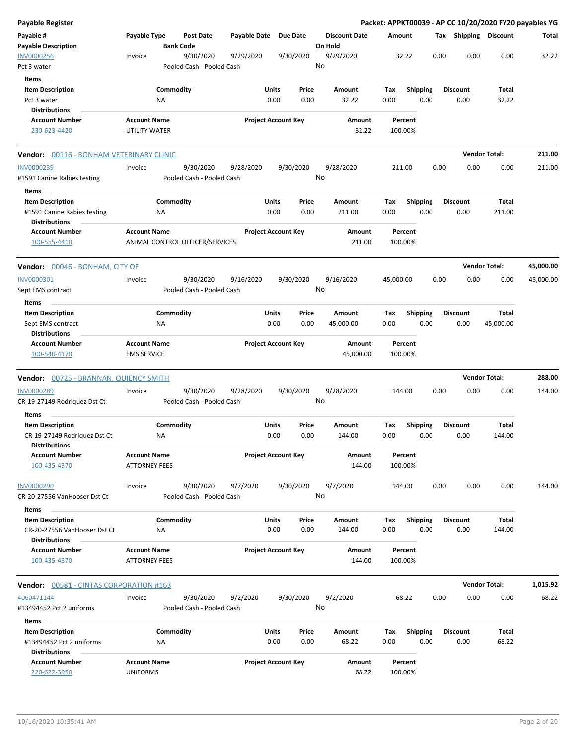| Payable Register                                                                |                                             |                  |                                        |              |                                |                 |                         |             |                    |      |      |                         |                       | Packet: APPKT00039 - AP CC 10/20/2020 FY20 payables YG |
|---------------------------------------------------------------------------------|---------------------------------------------|------------------|----------------------------------------|--------------|--------------------------------|-----------------|-------------------------|-------------|--------------------|------|------|-------------------------|-----------------------|--------------------------------------------------------|
| Payable #<br><b>Payable Description</b>                                         | Payable Type                                | <b>Bank Code</b> | <b>Post Date</b>                       | Payable Date | <b>Due Date</b>                | On Hold         | <b>Discount Date</b>    | Amount      |                    |      |      |                         | Tax Shipping Discount | Total                                                  |
| <b>INV0000256</b><br>Pct 3 water                                                | Invoice                                     |                  | 9/30/2020<br>Pooled Cash - Pooled Cash | 9/29/2020    | 9/30/2020                      | 9/29/2020<br>No |                         |             | 32.22              |      | 0.00 | 0.00                    | 0.00                  | 32.22                                                  |
| Items                                                                           |                                             |                  |                                        |              |                                |                 |                         |             |                    |      |      |                         |                       |                                                        |
| <b>Item Description</b><br>Pct 3 water                                          |                                             | Commodity<br>ΝA  |                                        |              | Units<br>Price<br>0.00<br>0.00 |                 | Amount<br>32.22         | Tax<br>0.00 | <b>Shipping</b>    | 0.00 |      | <b>Discount</b><br>0.00 | Total<br>32.22        |                                                        |
| <b>Distributions</b>                                                            |                                             |                  |                                        |              |                                |                 |                         |             |                    |      |      |                         |                       |                                                        |
| <b>Account Number</b><br>230-623-4420                                           | <b>Account Name</b><br>UTILITY WATER        |                  |                                        |              | <b>Project Account Key</b>     |                 | Amount<br>32.22         |             | Percent<br>100.00% |      |      |                         |                       |                                                        |
| <b>Vendor:</b> 00116 - BONHAM VETERINARY CLINIC                                 |                                             |                  |                                        |              |                                |                 |                         |             |                    |      |      |                         | <b>Vendor Total:</b>  | 211.00                                                 |
| INV0000239<br>#1591 Canine Rabies testing                                       | Invoice                                     |                  | 9/30/2020<br>Pooled Cash - Pooled Cash | 9/28/2020    | 9/30/2020                      | 9/28/2020<br>No |                         | 211.00      |                    |      | 0.00 | 0.00                    | 0.00                  | 211.00                                                 |
| Items                                                                           |                                             |                  |                                        |              |                                |                 |                         |             |                    |      |      |                         |                       |                                                        |
| <b>Item Description</b><br>#1591 Canine Rabies testing<br><b>Distributions</b>  |                                             | Commodity<br>ΝA  |                                        |              | Units<br>Price<br>0.00<br>0.00 |                 | Amount<br>211.00        | Tax<br>0.00 | Shipping           | 0.00 |      | <b>Discount</b><br>0.00 | Total<br>211.00       |                                                        |
| <b>Account Number</b><br>100-555-4410                                           | <b>Account Name</b>                         |                  | ANIMAL CONTROL OFFICER/SERVICES        |              | <b>Project Account Key</b>     |                 | Amount<br>211.00        |             | Percent<br>100.00% |      |      |                         |                       |                                                        |
| Vendor: 00046 - BONHAM, CITY OF                                                 |                                             |                  |                                        |              |                                |                 |                         |             |                    |      |      |                         | <b>Vendor Total:</b>  | 45,000.00                                              |
| INV0000301<br>Sept EMS contract                                                 | Invoice                                     |                  | 9/30/2020<br>Pooled Cash - Pooled Cash | 9/16/2020    | 9/30/2020                      | 9/16/2020<br>No |                         | 45,000.00   |                    |      | 0.00 | 0.00                    | 0.00                  | 45,000.00                                              |
| Items                                                                           |                                             |                  |                                        |              |                                |                 |                         |             |                    |      |      |                         |                       |                                                        |
| <b>Item Description</b>                                                         |                                             | Commodity        |                                        |              | Units<br>Price                 |                 | Amount                  | Tax         | <b>Shipping</b>    |      |      | <b>Discount</b>         | Total                 |                                                        |
| Sept EMS contract                                                               |                                             | ΝA               |                                        |              | 0.00<br>0.00                   |                 | 45,000.00               | 0.00        |                    | 0.00 |      | 0.00                    | 45,000.00             |                                                        |
| <b>Distributions</b><br><b>Account Number</b>                                   | <b>Account Name</b>                         |                  |                                        |              | <b>Project Account Key</b>     |                 | Amount                  |             | Percent            |      |      |                         |                       |                                                        |
| 100-540-4170                                                                    | <b>EMS SERVICE</b>                          |                  |                                        |              |                                |                 | 45,000.00               |             | 100.00%            |      |      |                         |                       |                                                        |
| <b>Vendor:</b> 00725 - BRANNAN, QUIENCY SMITH                                   |                                             |                  |                                        |              |                                |                 |                         |             |                    |      |      |                         | <b>Vendor Total:</b>  | 288.00                                                 |
| INV0000289<br>CR-19-27149 Rodriguez Dst Ct                                      | Invoice                                     |                  | 9/30/2020<br>Pooled Cash - Pooled Cash | 9/28/2020    | 9/30/2020                      | 9/28/2020<br>No |                         | 144.00      |                    |      | 0.00 | 0.00                    | 0.00                  | 144.00                                                 |
| Items                                                                           |                                             | Commodity        |                                        |              | Units<br>Price                 |                 |                         | Tax         |                    |      |      | <b>Discount</b>         | Total                 |                                                        |
| <b>Item Description</b><br>CR-19-27149 Rodriguez Dst Ct<br><b>Distributions</b> |                                             | ΝA               |                                        |              | 0.00<br>0.00                   |                 | Amount<br>144.00        | 0.00        | <b>Shipping</b>    | 0.00 |      | 0.00                    | 144.00                |                                                        |
| <b>Account Number</b><br>100-435-4370                                           | <b>Account Name</b><br><b>ATTORNEY FEES</b> |                  |                                        |              | <b>Project Account Key</b>     |                 | Amount<br>144.00        |             | Percent<br>100.00% |      |      |                         |                       |                                                        |
| INV0000290<br>CR-20-27556 VanHooser Dst Ct                                      | Invoice                                     |                  | 9/30/2020<br>Pooled Cash - Pooled Cash | 9/7/2020     | 9/30/2020                      | 9/7/2020<br>No  |                         | 144.00      |                    |      | 0.00 | 0.00                    | 0.00                  | 144.00                                                 |
| Items                                                                           |                                             |                  |                                        |              |                                |                 |                         |             |                    |      |      |                         |                       |                                                        |
| <b>Item Description</b><br>CR-20-27556 VanHooser Dst Ct<br><b>Distributions</b> |                                             | Commodity<br>ΝA  |                                        |              | Units<br>Price<br>0.00<br>0.00 |                 | <b>Amount</b><br>144.00 | Tax<br>0.00 | Shipping           | 0.00 |      | <b>Discount</b><br>0.00 | Total<br>144.00       |                                                        |
| <b>Account Number</b><br>100-435-4370                                           | <b>Account Name</b><br><b>ATTORNEY FEES</b> |                  |                                        |              | <b>Project Account Key</b>     |                 | Amount<br>144.00        |             | Percent<br>100.00% |      |      |                         |                       |                                                        |
| Vendor: 00581 - CINTAS CORPORATION #163                                         |                                             |                  |                                        |              |                                |                 |                         |             |                    |      |      |                         | <b>Vendor Total:</b>  | 1,015.92                                               |
| 4060471144<br>#13494452 Pct 2 uniforms                                          | Invoice                                     |                  | 9/30/2020<br>Pooled Cash - Pooled Cash | 9/2/2020     | 9/30/2020                      | 9/2/2020<br>No  |                         |             | 68.22              |      | 0.00 | 0.00                    | 0.00                  | 68.22                                                  |
| Items                                                                           |                                             |                  |                                        |              |                                |                 |                         |             |                    |      |      |                         |                       |                                                        |
| <b>Item Description</b>                                                         |                                             | Commodity        |                                        |              | Units<br>Price                 |                 | Amount                  | Tax         | <b>Shipping</b>    |      |      | <b>Discount</b>         | Total                 |                                                        |
| #13494452 Pct 2 uniforms<br><b>Distributions</b>                                |                                             | ΝA               |                                        |              | 0.00<br>0.00                   |                 | 68.22                   | 0.00        |                    | 0.00 |      | 0.00                    | 68.22                 |                                                        |
| <b>Account Number</b>                                                           | <b>Account Name</b>                         |                  |                                        |              | <b>Project Account Key</b>     |                 | Amount                  |             | Percent            |      |      |                         |                       |                                                        |
| 220-622-3950                                                                    | <b>UNIFORMS</b>                             |                  |                                        |              |                                |                 | 68.22                   |             | 100.00%            |      |      |                         |                       |                                                        |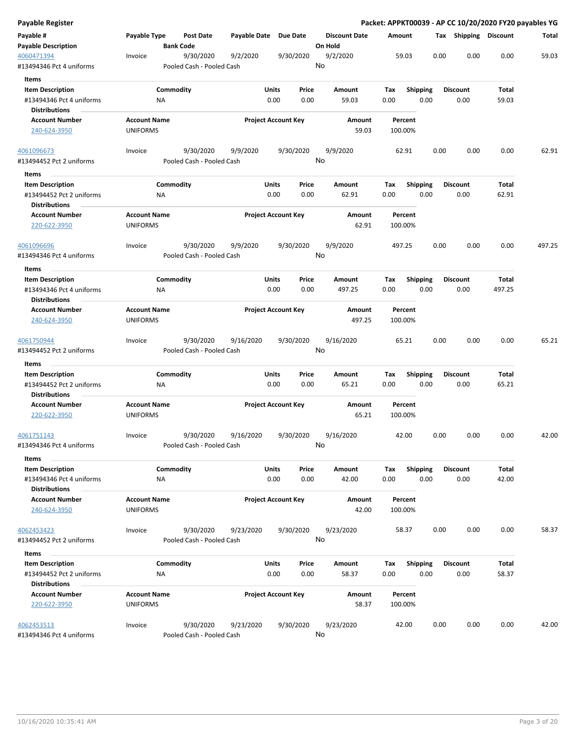| Payable Register                                    |                                        |                                        |                       |                                |                      | Packet: APPKT00039 - AP CC 10/20/2020 FY20 payables YG |                         |                       |        |        |
|-----------------------------------------------------|----------------------------------------|----------------------------------------|-----------------------|--------------------------------|----------------------|--------------------------------------------------------|-------------------------|-----------------------|--------|--------|
| Payable #                                           | Payable Type                           | Post Date                              | Payable Date Due Date |                                | <b>Discount Date</b> | Amount                                                 |                         | Tax Shipping Discount |        | Total  |
| <b>Payable Description</b>                          |                                        | <b>Bank Code</b>                       |                       |                                | On Hold              |                                                        |                         |                       |        |        |
| 4060471394<br>#13494346 Pct 4 uniforms              | Invoice                                | 9/30/2020<br>Pooled Cash - Pooled Cash | 9/2/2020              | 9/30/2020                      | 9/2/2020<br>No       | 59.03                                                  | 0.00                    | 0.00                  | 0.00   | 59.03  |
| Items                                               |                                        |                                        |                       |                                |                      |                                                        |                         |                       |        |        |
| <b>Item Description</b>                             |                                        | Commodity                              |                       | Units<br>Price                 | Amount               | Tax                                                    | <b>Shipping</b>         | <b>Discount</b>       | Total  |        |
| #13494346 Pct 4 uniforms                            |                                        | ΝA                                     |                       | 0.00<br>0.00                   | 59.03                | 0.00                                                   | 0.00                    | 0.00                  | 59.03  |        |
| <b>Distributions</b>                                |                                        |                                        |                       |                                |                      |                                                        |                         |                       |        |        |
| <b>Account Number</b>                               | <b>Account Name</b>                    |                                        |                       | <b>Project Account Key</b>     | Amount               | Percent                                                |                         |                       |        |        |
| 240-624-3950                                        | <b>UNIFORMS</b>                        |                                        |                       |                                | 59.03                | 100.00%                                                |                         |                       |        |        |
| 4061096673                                          | Invoice                                | 9/30/2020                              | 9/9/2020              | 9/30/2020                      | 9/9/2020             | 62.91                                                  | 0.00                    | 0.00                  | 0.00   | 62.91  |
| #13494452 Pct 2 uniforms<br>Items                   |                                        | Pooled Cash - Pooled Cash              |                       |                                | No                   |                                                        |                         |                       |        |        |
| <b>Item Description</b>                             |                                        | Commodity                              |                       | Units<br>Price                 | Amount               | Tax                                                    | <b>Shipping</b>         | <b>Discount</b>       | Total  |        |
| #13494452 Pct 2 uniforms                            |                                        | NA                                     |                       | 0.00<br>0.00                   | 62.91                | 0.00                                                   | 0.00                    | 0.00                  | 62.91  |        |
| <b>Distributions</b>                                |                                        |                                        |                       |                                |                      |                                                        |                         |                       |        |        |
| <b>Account Number</b><br>220-622-3950               | <b>Account Name</b><br><b>UNIFORMS</b> |                                        |                       | <b>Project Account Key</b>     | Amount<br>62.91      | Percent<br>100.00%                                     |                         |                       |        |        |
| 4061096696                                          | Invoice                                | 9/30/2020                              | 9/9/2020              | 9/30/2020                      | 9/9/2020             | 497.25                                                 | 0.00                    | 0.00                  | 0.00   | 497.25 |
| #13494346 Pct 4 uniforms                            |                                        | Pooled Cash - Pooled Cash              |                       |                                | No                   |                                                        |                         |                       |        |        |
|                                                     |                                        |                                        |                       |                                |                      |                                                        |                         |                       |        |        |
| Items                                               |                                        |                                        |                       |                                |                      |                                                        |                         |                       |        |        |
| <b>Item Description</b><br>#13494346 Pct 4 uniforms |                                        | Commodity                              |                       | Units<br>Price<br>0.00<br>0.00 | Amount<br>497.25     | Tax<br>0.00                                            | <b>Shipping</b><br>0.00 | <b>Discount</b>       | Total  |        |
| <b>Distributions</b>                                |                                        | ΝA                                     |                       |                                |                      |                                                        |                         | 0.00                  | 497.25 |        |
| <b>Account Number</b>                               | <b>Account Name</b>                    |                                        |                       | <b>Project Account Key</b>     | Amount               | Percent                                                |                         |                       |        |        |
| 240-624-3950                                        | <b>UNIFORMS</b>                        |                                        |                       |                                | 497.25               | 100.00%                                                |                         |                       |        |        |
| 4061750944                                          | Invoice                                | 9/30/2020                              | 9/16/2020             | 9/30/2020                      | 9/16/2020            | 65.21                                                  | 0.00                    | 0.00                  | 0.00   | 65.21  |
| #13494452 Pct 2 uniforms                            |                                        | Pooled Cash - Pooled Cash              |                       |                                | No                   |                                                        |                         |                       |        |        |
| Items                                               |                                        |                                        |                       |                                |                      |                                                        |                         |                       |        |        |
| <b>Item Description</b>                             |                                        | Commodity                              |                       | Units<br>Price                 | Amount               | Tax                                                    | Shipping                | <b>Discount</b>       | Total  |        |
| #13494452 Pct 2 uniforms<br><b>Distributions</b>    |                                        | NA                                     |                       | 0.00<br>0.00                   | 65.21                | 0.00                                                   | 0.00                    | 0.00                  | 65.21  |        |
| <b>Account Number</b>                               | <b>Account Name</b>                    |                                        |                       | <b>Project Account Key</b>     | Amount               | Percent                                                |                         |                       |        |        |
| 220-622-3950                                        | <b>UNIFORMS</b>                        |                                        |                       |                                | 65.21                | 100.00%                                                |                         |                       |        |        |
| 4061751143                                          | Invoice                                | 9/30/2020                              | 9/16/2020             | 9/30/2020                      | 9/16/2020            | 42.00                                                  | 0.00                    | 0.00                  | 0.00   | 42.00  |
| #13494346 Pct 4 uniforms                            |                                        | Pooled Cash - Pooled Cash              |                       |                                | No                   |                                                        |                         |                       |        |        |
| Items                                               |                                        |                                        |                       |                                |                      |                                                        |                         |                       |        |        |
| <b>Item Description</b>                             |                                        | Commodity                              |                       | Units<br>Price                 | Amount               | Tax                                                    | Shipping                | <b>Discount</b>       | Total  |        |
| #13494346 Pct 4 uniforms<br><b>Distributions</b>    |                                        | <b>NA</b>                              |                       | 0.00<br>0.00                   | 42.00                | 0.00                                                   | 0.00                    | 0.00                  | 42.00  |        |
| <b>Account Number</b>                               | <b>Account Name</b>                    |                                        |                       | <b>Project Account Key</b>     | Amount               | Percent                                                |                         |                       |        |        |
| 240-624-3950                                        | <b>UNIFORMS</b>                        |                                        |                       |                                | 42.00                | 100.00%                                                |                         |                       |        |        |
| 4062453423                                          | Invoice                                | 9/30/2020                              | 9/23/2020             | 9/30/2020                      | 9/23/2020            | 58.37                                                  | 0.00                    | 0.00                  | 0.00   | 58.37  |
| #13494452 Pct 2 uniforms                            |                                        | Pooled Cash - Pooled Cash              |                       |                                | No                   |                                                        |                         |                       |        |        |
| Items                                               |                                        |                                        |                       |                                |                      |                                                        |                         |                       |        |        |
| <b>Item Description</b>                             |                                        | Commodity                              |                       | Units<br>Price                 | Amount               | Tax                                                    | <b>Shipping</b>         | <b>Discount</b>       | Total  |        |
| #13494452 Pct 2 uniforms                            |                                        | ΝA                                     |                       | 0.00<br>0.00                   | 58.37                | 0.00                                                   | 0.00                    | 0.00                  | 58.37  |        |
| <b>Distributions</b>                                |                                        |                                        |                       |                                |                      |                                                        |                         |                       |        |        |
| <b>Account Number</b>                               | <b>Account Name</b>                    |                                        |                       | <b>Project Account Key</b>     | Amount               | Percent                                                |                         |                       |        |        |
| 220-622-3950                                        | <b>UNIFORMS</b>                        |                                        |                       |                                | 58.37                | 100.00%                                                |                         |                       |        |        |
| 4062453513                                          | Invoice                                | 9/30/2020                              | 9/23/2020             | 9/30/2020                      | 9/23/2020            | 42.00                                                  | 0.00                    | 0.00                  | 0.00   | 42.00  |
| #13494346 Pct 4 uniforms                            |                                        | Pooled Cash - Pooled Cash              |                       |                                | No                   |                                                        |                         |                       |        |        |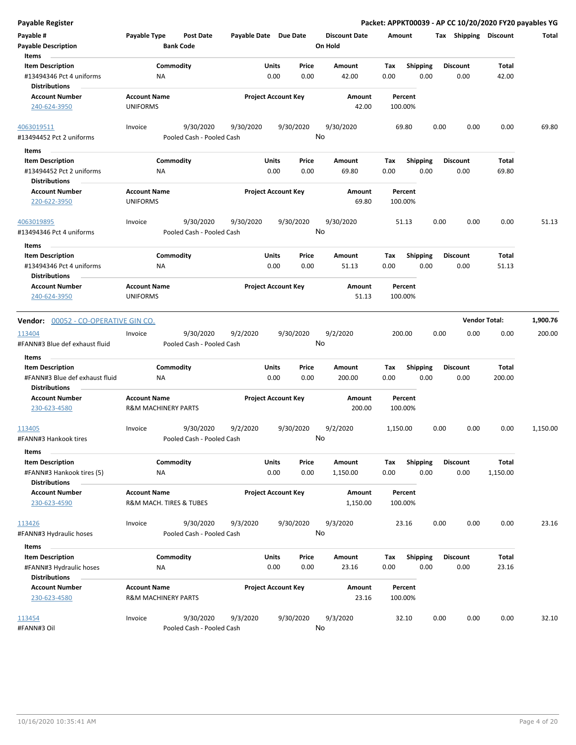| Payable #<br><b>Payable Description</b><br>Items                            | Payable Type                           | Post Date<br><b>Bank Code</b>          | Payable Date Due Date |                                | <b>Discount Date</b><br>On Hold | Amount             |                         | <b>Shipping</b><br>Tax  | Discount             | Total    |
|-----------------------------------------------------------------------------|----------------------------------------|----------------------------------------|-----------------------|--------------------------------|---------------------------------|--------------------|-------------------------|-------------------------|----------------------|----------|
| <b>Item Description</b><br>#13494346 Pct 4 uniforms<br><b>Distributions</b> | <b>NA</b>                              | Commodity                              |                       | Units<br>Price<br>0.00<br>0.00 | Amount<br>42.00                 | Tax<br>0.00        | <b>Shipping</b><br>0.00 | <b>Discount</b><br>0.00 | Total<br>42.00       |          |
| <b>Account Number</b><br>240-624-3950                                       | <b>Account Name</b><br><b>UNIFORMS</b> |                                        |                       | <b>Project Account Key</b>     | Amount<br>42.00                 | Percent<br>100.00% |                         |                         |                      |          |
| 4063019511<br>#13494452 Pct 2 uniforms                                      | Invoice                                | 9/30/2020<br>Pooled Cash - Pooled Cash | 9/30/2020             | 9/30/2020                      | 9/30/2020<br>No                 | 69.80              |                         | 0.00                    | 0.00<br>0.00         | 69.80    |
| Items                                                                       |                                        |                                        |                       |                                |                                 |                    |                         |                         |                      |          |
| <b>Item Description</b>                                                     |                                        | Commodity                              |                       | Units<br>Price                 | Amount                          | Tax                | <b>Shipping</b>         | <b>Discount</b>         | Total                |          |
| #13494452 Pct 2 uniforms<br><b>Distributions</b>                            | ΝA                                     |                                        |                       | 0.00<br>0.00                   | 69.80                           | 0.00               | 0.00                    | 0.00                    | 69.80                |          |
| <b>Account Number</b>                                                       | <b>Account Name</b>                    |                                        |                       | <b>Project Account Key</b>     | Amount                          | Percent            |                         |                         |                      |          |
| 220-622-3950                                                                | <b>UNIFORMS</b>                        |                                        |                       |                                | 69.80                           | 100.00%            |                         |                         |                      |          |
| 4063019895                                                                  | Invoice                                | 9/30/2020                              | 9/30/2020             | 9/30/2020                      | 9/30/2020                       | 51.13              |                         | 0.00                    | 0.00<br>0.00         | 51.13    |
| #13494346 Pct 4 uniforms                                                    |                                        | Pooled Cash - Pooled Cash              |                       |                                | No                              |                    |                         |                         |                      |          |
| Items                                                                       |                                        |                                        |                       |                                |                                 |                    |                         |                         |                      |          |
| <b>Item Description</b>                                                     |                                        | Commodity                              |                       | Units<br>Price                 | Amount                          | Tax                | <b>Shipping</b>         | <b>Discount</b>         | Total                |          |
| #13494346 Pct 4 uniforms<br><b>Distributions</b>                            | <b>NA</b>                              |                                        |                       | 0.00<br>0.00                   | 51.13                           | 0.00               | 0.00                    | 0.00                    | 51.13                |          |
| <b>Account Number</b>                                                       | <b>Account Name</b>                    |                                        |                       | <b>Project Account Key</b>     | Amount                          | Percent            |                         |                         |                      |          |
| 240-624-3950                                                                | <b>UNIFORMS</b>                        |                                        |                       |                                | 51.13                           | 100.00%            |                         |                         |                      |          |
| <b>Vendor:</b> 00052 - CO-OPERATIVE GIN CO.                                 |                                        |                                        |                       |                                |                                 |                    |                         |                         | <b>Vendor Total:</b> | 1,900.76 |
| 113404<br>#FANN#3 Blue def exhaust fluid                                    | Invoice                                | 9/30/2020<br>Pooled Cash - Pooled Cash | 9/2/2020              | 9/30/2020                      | 9/2/2020<br>No                  | 200.00             |                         | 0.00                    | 0.00<br>0.00         | 200.00   |
| Items                                                                       |                                        |                                        |                       |                                |                                 |                    |                         |                         |                      |          |
| <b>Item Description</b>                                                     |                                        | Commodity                              |                       | Units<br>Price                 | Amount                          | Tax                | <b>Shipping</b>         | <b>Discount</b>         | Total                |          |
| #FANN#3 Blue def exhaust fluid<br><b>Distributions</b>                      | ΝA                                     |                                        |                       | 0.00<br>0.00                   | 200.00                          | 0.00               | 0.00                    | 0.00                    | 200.00               |          |
| <b>Account Number</b>                                                       | <b>Account Name</b>                    |                                        |                       | <b>Project Account Key</b>     | Amount                          | Percent            |                         |                         |                      |          |
| 230-623-4580                                                                | <b>R&amp;M MACHINERY PARTS</b>         |                                        |                       |                                | 200.00                          | 100.00%            |                         |                         |                      |          |
| 113405<br>#FANN#3 Hankook tires                                             | Invoice                                | 9/30/2020<br>Pooled Cash - Pooled Cash | 9/2/2020              | 9/30/2020                      | 9/2/2020<br>No                  | 1,150.00           |                         | 0.00                    | 0.00<br>0.00         | 1,150.00 |
| Items                                                                       |                                        |                                        |                       |                                |                                 |                    |                         |                         |                      |          |
| <b>Item Description</b>                                                     |                                        | Commodity                              |                       | Units<br>Price                 | Amount                          | Тах                | <b>Shipping</b>         | <b>Discount</b>         | Total                |          |
| #FANN#3 Hankook tires (5)                                                   | ΝA                                     |                                        |                       | 0.00<br>0.00                   | 1,150.00                        | 0.00               | 0.00                    | 0.00                    | 1,150.00             |          |
| <b>Distributions</b>                                                        |                                        |                                        |                       |                                |                                 |                    |                         |                         |                      |          |
| <b>Account Number</b>                                                       | <b>Account Name</b>                    |                                        |                       | <b>Project Account Key</b>     | Amount                          | Percent            |                         |                         |                      |          |
| 230-623-4590                                                                | R&M MACH. TIRES & TUBES                |                                        |                       |                                | 1,150.00                        | 100.00%            |                         |                         |                      |          |
| 113426                                                                      | Invoice                                | 9/30/2020                              | 9/3/2020              | 9/30/2020                      | 9/3/2020                        | 23.16              |                         | 0.00                    | 0.00<br>0.00         | 23.16    |
| #FANN#3 Hydraulic hoses                                                     |                                        | Pooled Cash - Pooled Cash              |                       |                                | No                              |                    |                         |                         |                      |          |
|                                                                             |                                        |                                        |                       |                                |                                 |                    |                         |                         |                      |          |
| Items<br><b>Item Description</b>                                            |                                        | Commodity                              |                       | Units<br>Price                 | Amount                          | Tax                |                         | <b>Discount</b>         | Total                |          |
|                                                                             |                                        |                                        |                       |                                |                                 |                    | <b>Shipping</b>         |                         |                      |          |
| #FANN#3 Hydraulic hoses<br><b>Distributions</b>                             | ΝA                                     |                                        |                       | 0.00<br>0.00                   | 23.16                           | 0.00               | 0.00                    | 0.00                    | 23.16                |          |
| <b>Account Number</b>                                                       | <b>Account Name</b>                    |                                        |                       | <b>Project Account Key</b>     |                                 |                    |                         |                         |                      |          |
| 230-623-4580                                                                | <b>R&amp;M MACHINERY PARTS</b>         |                                        |                       |                                | Amount<br>23.16                 | Percent<br>100.00% |                         |                         |                      |          |
|                                                                             |                                        |                                        |                       |                                |                                 |                    |                         |                         |                      |          |
| 113454<br>#FANN#3 Oil                                                       | Invoice                                | 9/30/2020<br>Pooled Cash - Pooled Cash | 9/3/2020              | 9/30/2020                      | 9/3/2020<br>No                  | 32.10              |                         | 0.00                    | 0.00<br>0.00         | 32.10    |
|                                                                             |                                        |                                        |                       |                                |                                 |                    |                         |                         |                      |          |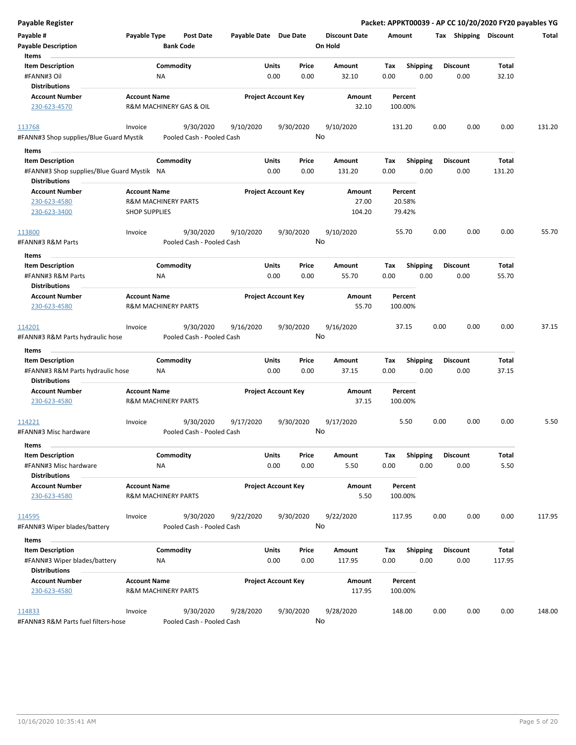| <b>Payable Register</b>                                                                       |                      |                                        |                       |                                |                                 | Packet: APPKT00039 - AP CC 10/20/2020 FY20 payables YG |      |                         |                 |        |
|-----------------------------------------------------------------------------------------------|----------------------|----------------------------------------|-----------------------|--------------------------------|---------------------------------|--------------------------------------------------------|------|-------------------------|-----------------|--------|
| Payable #<br><b>Payable Description</b>                                                       | Payable Type         | <b>Post Date</b><br><b>Bank Code</b>   | Payable Date Due Date |                                | <b>Discount Date</b><br>On Hold | Amount                                                 |      | Tax Shipping Discount   |                 | Total  |
| Items<br><b>Item Description</b><br>#FANN#3 Oil<br><b>Distributions</b>                       |                      | Commodity<br>ΝA                        |                       | Units<br>Price<br>0.00<br>0.00 | Amount<br>32.10                 | <b>Shipping</b><br>Tax<br>0.00                         | 0.00 | <b>Discount</b><br>0.00 | Total<br>32.10  |        |
| <b>Account Number</b><br>230-623-4570                                                         | <b>Account Name</b>  | R&M MACHINERY GAS & OIL                |                       | <b>Project Account Key</b>     | Amount<br>32.10                 | Percent<br>100.00%                                     |      |                         |                 |        |
| 113768<br>#FANN#3 Shop supplies/Blue Guard Mystik                                             | Invoice              | 9/30/2020<br>Pooled Cash - Pooled Cash | 9/10/2020             | 9/30/2020                      | 9/10/2020<br>No                 | 131.20                                                 | 0.00 | 0.00                    | 0.00            | 131.20 |
| Items                                                                                         |                      |                                        |                       |                                |                                 |                                                        |      |                         |                 |        |
| <b>Item Description</b><br>#FANN#3 Shop supplies/Blue Guard Mystik NA<br><b>Distributions</b> |                      | Commodity                              |                       | Units<br>Price<br>0.00<br>0.00 | Amount<br>131.20                | <b>Shipping</b><br>Tax<br>0.00                         | 0.00 | <b>Discount</b><br>0.00 | Total<br>131.20 |        |
| <b>Account Number</b><br>230-623-4580                                                         | <b>Account Name</b>  | <b>R&amp;M MACHINERY PARTS</b>         |                       | <b>Project Account Key</b>     | Amount<br>27.00                 | Percent<br>20.58%                                      |      |                         |                 |        |
| 230-623-3400                                                                                  | <b>SHOP SUPPLIES</b> |                                        |                       |                                | 104.20                          | 79.42%                                                 |      |                         |                 |        |
| 113800<br>#FANN#3 R&M Parts                                                                   | Invoice              | 9/30/2020<br>Pooled Cash - Pooled Cash | 9/10/2020             | 9/30/2020                      | 9/10/2020<br>No                 | 55.70                                                  | 0.00 | 0.00                    | 0.00            | 55.70  |
| Items<br><b>Item Description</b>                                                              |                      | Commodity                              |                       | Units<br>Price                 | Amount                          |                                                        |      | <b>Discount</b>         | Total           |        |
| #FANN#3 R&M Parts<br><b>Distributions</b>                                                     |                      | ΝA                                     |                       | 0.00<br>0.00                   | 55.70                           | Tax<br><b>Shipping</b><br>0.00                         | 0.00 | 0.00                    | 55.70           |        |
| <b>Account Number</b><br>230-623-4580                                                         | <b>Account Name</b>  | <b>R&amp;M MACHINERY PARTS</b>         |                       | <b>Project Account Key</b>     | Amount<br>55.70                 | Percent<br>100.00%                                     |      |                         |                 |        |
| 114201<br>#FANN#3 R&M Parts hydraulic hose                                                    | Invoice              | 9/30/2020<br>Pooled Cash - Pooled Cash | 9/16/2020             | 9/30/2020                      | 9/16/2020<br>No                 | 37.15                                                  | 0.00 | 0.00                    | 0.00            | 37.15  |
| Items                                                                                         |                      |                                        |                       |                                |                                 |                                                        |      |                         |                 |        |
| <b>Item Description</b><br>#FANN#3 R&M Parts hydraulic hose<br><b>Distributions</b>           |                      | Commodity<br>ΝA                        |                       | Units<br>Price<br>0.00<br>0.00 | Amount<br>37.15                 | Shipping<br>Tax<br>0.00                                | 0.00 | <b>Discount</b><br>0.00 | Total<br>37.15  |        |
| <b>Account Number</b><br>230-623-4580                                                         | <b>Account Name</b>  | <b>R&amp;M MACHINERY PARTS</b>         |                       | <b>Project Account Key</b>     | Amount<br>37.15                 | Percent<br>100.00%                                     |      |                         |                 |        |
| 114221<br>#FANN#3 Misc hardware                                                               | Invoice              | 9/30/2020<br>Pooled Cash - Pooled Cash | 9/17/2020             | 9/30/2020                      | 9/17/2020<br>No                 | 5.50                                                   | 0.00 | 0.00                    | 0.00            | 5.50   |
| Items<br><b>Item Description</b><br>#FANN#3 Misc hardware                                     |                      | Commodity<br><b>NA</b>                 |                       | Units<br>Price<br>0.00<br>0.00 | Amount<br>5.50                  | <b>Shipping</b><br>Tax<br>0.00                         | 0.00 | <b>Discount</b><br>0.00 | Total<br>5.50   |        |
| <b>Distributions</b><br><b>Account Number</b><br>230-623-4580                                 | <b>Account Name</b>  | <b>R&amp;M MACHINERY PARTS</b>         |                       | <b>Project Account Key</b>     | Amount<br>5.50                  | Percent<br>100.00%                                     |      |                         |                 |        |
| 114595<br>#FANN#3 Wiper blades/battery                                                        | Invoice              | 9/30/2020<br>Pooled Cash - Pooled Cash | 9/22/2020             | 9/30/2020                      | 9/22/2020<br>No                 | 117.95                                                 | 0.00 | 0.00                    | 0.00            | 117.95 |
| Items                                                                                         |                      |                                        |                       |                                |                                 |                                                        |      |                         |                 |        |
| <b>Item Description</b><br>#FANN#3 Wiper blades/battery                                       |                      | Commodity<br>ΝA                        |                       | Units<br>Price<br>0.00<br>0.00 | Amount<br>117.95                | <b>Shipping</b><br>Tax<br>0.00                         | 0.00 | <b>Discount</b><br>0.00 | Total<br>117.95 |        |
| <b>Distributions</b><br><b>Account Number</b><br>230-623-4580                                 | <b>Account Name</b>  | <b>R&amp;M MACHINERY PARTS</b>         |                       | <b>Project Account Key</b>     | Amount<br>117.95                | Percent<br>100.00%                                     |      |                         |                 |        |
| 114833<br>#FANN#3 R&M Parts fuel filters-hose                                                 | Invoice              | 9/30/2020<br>Pooled Cash - Pooled Cash | 9/28/2020             | 9/30/2020                      | 9/28/2020<br>No                 | 148.00                                                 | 0.00 | 0.00                    | 0.00            | 148.00 |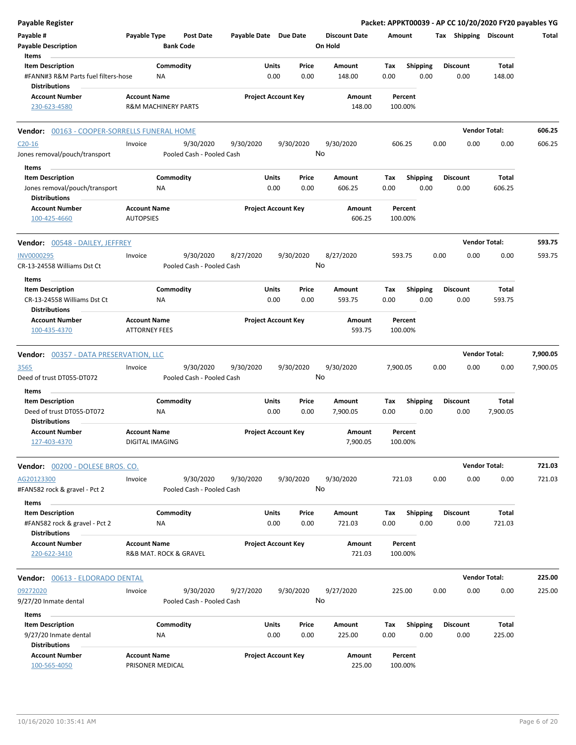| <b>Payable Register</b>                                     |                                             |                                      |                       |                            |                                 |          |                 |      |                 | Packet: APPKT00039 - AP CC 10/20/2020 FY20 payables YG |          |
|-------------------------------------------------------------|---------------------------------------------|--------------------------------------|-----------------------|----------------------------|---------------------------------|----------|-----------------|------|-----------------|--------------------------------------------------------|----------|
| Payable #<br><b>Payable Description</b>                     | Payable Type                                | <b>Post Date</b><br><b>Bank Code</b> | Payable Date Due Date |                            | <b>Discount Date</b><br>On Hold | Amount   |                 |      |                 | Tax Shipping Discount                                  | Total    |
| Items                                                       |                                             |                                      |                       |                            |                                 |          |                 |      |                 |                                                        |          |
| <b>Item Description</b>                                     |                                             | Commodity                            |                       | Price<br>Units             | Amount                          | Tax      | <b>Shipping</b> |      | <b>Discount</b> | Total                                                  |          |
| #FANN#3 R&M Parts fuel filters-hose<br><b>Distributions</b> | NA                                          |                                      |                       | 0.00<br>0.00               | 148.00                          | 0.00     | 0.00            |      | 0.00            | 148.00                                                 |          |
| <b>Account Number</b>                                       | <b>Account Name</b>                         |                                      |                       | <b>Project Account Key</b> | Amount                          |          | Percent         |      |                 |                                                        |          |
| 230-623-4580                                                | <b>R&amp;M MACHINERY PARTS</b>              |                                      |                       |                            | 148.00                          | 100.00%  |                 |      |                 |                                                        |          |
| Vendor: 00163 - COOPER-SORRELLS FUNERAL HOME                |                                             |                                      |                       |                            |                                 |          |                 |      |                 | <b>Vendor Total:</b>                                   | 606.25   |
| $C20-16$                                                    | Invoice                                     | 9/30/2020                            | 9/30/2020             | 9/30/2020                  | 9/30/2020                       | 606.25   |                 | 0.00 | 0.00            | 0.00                                                   | 606.25   |
| Jones removal/pouch/transport                               |                                             | Pooled Cash - Pooled Cash            |                       |                            | No                              |          |                 |      |                 |                                                        |          |
| Items                                                       |                                             |                                      |                       |                            |                                 |          |                 |      |                 |                                                        |          |
| <b>Item Description</b>                                     |                                             | Commodity                            |                       | <b>Units</b><br>Price      | Amount                          | Tax      | <b>Shipping</b> |      | <b>Discount</b> | Total                                                  |          |
| Jones removal/pouch/transport<br><b>Distributions</b>       | ΝA                                          |                                      |                       | 0.00<br>0.00               | 606.25                          | 0.00     | 0.00            |      | 0.00            | 606.25                                                 |          |
| <b>Account Number</b>                                       | <b>Account Name</b>                         |                                      |                       | <b>Project Account Key</b> | Amount                          |          | Percent         |      |                 |                                                        |          |
| 100-425-4660                                                | <b>AUTOPSIES</b>                            |                                      |                       |                            | 606.25                          | 100.00%  |                 |      |                 |                                                        |          |
| <b>Vendor:</b> 00548 - DAILEY, JEFFREY                      |                                             |                                      |                       |                            |                                 |          |                 |      |                 | <b>Vendor Total:</b>                                   | 593.75   |
| <b>INV0000295</b>                                           | Invoice                                     | 9/30/2020                            | 8/27/2020             | 9/30/2020                  | 8/27/2020                       | 593.75   |                 | 0.00 | 0.00            | 0.00                                                   | 593.75   |
| CR-13-24558 Williams Dst Ct                                 |                                             | Pooled Cash - Pooled Cash            |                       |                            | No                              |          |                 |      |                 |                                                        |          |
| Items<br><b>Item Description</b>                            |                                             | Commodity                            |                       | Units<br>Price             | Amount                          | Tax      | <b>Shipping</b> |      | <b>Discount</b> | Total                                                  |          |
| CR-13-24558 Williams Dst Ct                                 | ΝA                                          |                                      |                       | 0.00<br>0.00               | 593.75                          | 0.00     | 0.00            |      | 0.00            | 593.75                                                 |          |
| Distributions                                               |                                             |                                      |                       |                            |                                 |          |                 |      |                 |                                                        |          |
| <b>Account Number</b><br>100-435-4370                       | <b>Account Name</b><br><b>ATTORNEY FEES</b> |                                      |                       | <b>Project Account Key</b> | Amount<br>593.75                | 100.00%  | Percent         |      |                 |                                                        |          |
| <b>Vendor: 00357 - DATA PRESERVATION, LLC</b>               |                                             |                                      |                       |                            |                                 |          |                 |      |                 | <b>Vendor Total:</b>                                   | 7,900.05 |
| 3565                                                        | Invoice                                     | 9/30/2020                            | 9/30/2020             | 9/30/2020                  | 9/30/2020                       | 7,900.05 |                 | 0.00 | 0.00            | 0.00                                                   | 7,900.05 |
| Deed of trust DT055-DT072                                   |                                             | Pooled Cash - Pooled Cash            |                       |                            | No                              |          |                 |      |                 |                                                        |          |
| Items                                                       |                                             |                                      |                       |                            |                                 |          |                 |      |                 |                                                        |          |
| <b>Item Description</b>                                     |                                             | Commodity                            |                       | Units<br>Price             | Amount                          | Tax      | Shipping        |      | <b>Discount</b> | Total                                                  |          |
| Deed of trust DT055-DT072<br><b>Distributions</b>           | ΝA                                          |                                      |                       | 0.00<br>0.00               | 7,900.05                        | 0.00     | 0.00            |      | 0.00            | 7,900.05                                               |          |
| Account Number<br>127-403-4370                              | <b>Account Name</b><br>DIGITAL IMAGING      |                                      |                       | <b>Project Account Key</b> | Amount<br>7,900.05              | 100.00%  | Percent         |      |                 |                                                        |          |
|                                                             |                                             |                                      |                       |                            |                                 |          |                 |      |                 |                                                        |          |
| Vendor: 00200 - DOLESE BROS. CO.                            |                                             |                                      |                       |                            |                                 |          |                 |      |                 | <b>Vendor Total:</b>                                   | 721.03   |
| AG20123300                                                  | Invoice                                     | 9/30/2020                            | 9/30/2020             | 9/30/2020                  | 9/30/2020                       | 721.03   |                 | 0.00 | 0.00            | 0.00                                                   | 721.03   |
| #FAN582 rock & gravel - Pct 2                               |                                             | Pooled Cash - Pooled Cash            |                       |                            | No                              |          |                 |      |                 |                                                        |          |
| Items<br><b>Item Description</b>                            |                                             | Commodity                            |                       | Units<br>Price             | Amount                          | Tax      | <b>Shipping</b> |      | Discount        | Total                                                  |          |
| #FAN582 rock & gravel - Pct 2<br><b>Distributions</b>       | ΝA                                          |                                      |                       | 0.00<br>0.00               | 721.03                          | 0.00     | 0.00            |      | 0.00            | 721.03                                                 |          |
| <b>Account Number</b>                                       | <b>Account Name</b>                         |                                      |                       | <b>Project Account Key</b> | Amount                          |          | Percent         |      |                 |                                                        |          |
| 220-622-3410                                                | R&B MAT. ROCK & GRAVEL                      |                                      |                       |                            | 721.03                          | 100.00%  |                 |      |                 |                                                        |          |
| Vendor: 00613 - ELDORADO DENTAL                             |                                             |                                      |                       |                            |                                 |          |                 |      |                 | <b>Vendor Total:</b>                                   | 225.00   |
| 09272020                                                    | Invoice                                     | 9/30/2020                            | 9/27/2020             | 9/30/2020                  | 9/27/2020                       | 225.00   |                 | 0.00 | 0.00            | 0.00                                                   | 225.00   |
| 9/27/20 Inmate dental                                       |                                             | Pooled Cash - Pooled Cash            |                       |                            | No                              |          |                 |      |                 |                                                        |          |
| Items                                                       |                                             |                                      |                       |                            |                                 |          |                 |      |                 |                                                        |          |
| <b>Item Description</b>                                     |                                             | Commodity                            |                       | Units<br>Price             | Amount                          | Tax      | <b>Shipping</b> |      | <b>Discount</b> | Total                                                  |          |
| 9/27/20 Inmate dental<br><b>Distributions</b>               | NA                                          |                                      |                       | 0.00<br>0.00               | 225.00                          | 0.00     | 0.00            |      | 0.00            | 225.00                                                 |          |
| <b>Account Number</b>                                       | <b>Account Name</b>                         |                                      |                       | <b>Project Account Key</b> | Amount                          |          | Percent         |      |                 |                                                        |          |
| 100-565-4050                                                | PRISONER MEDICAL                            |                                      |                       |                            | 225.00                          | 100.00%  |                 |      |                 |                                                        |          |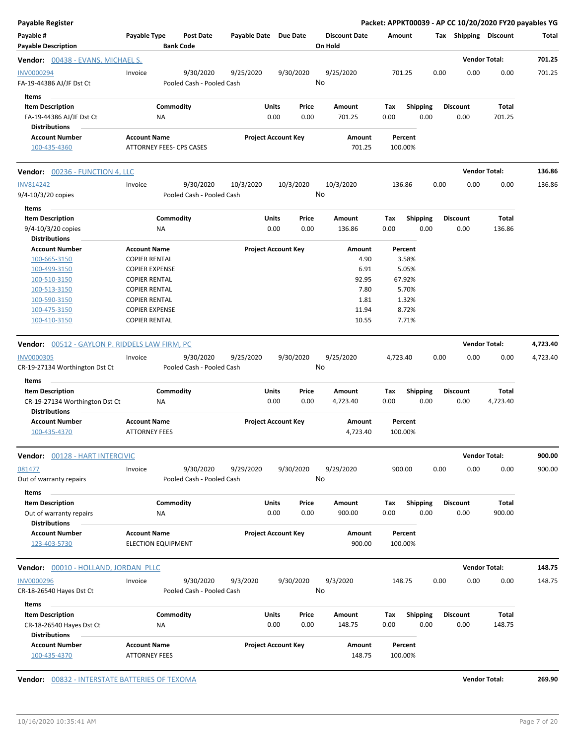| Payable Register                                                                                                                      |                                                                                                                                                                                               |                       |                            |                                                                          |                                                                         |                         | Packet: APPKT00039 - AP CC 10/20/2020 FY20 payables YG |                      |          |
|---------------------------------------------------------------------------------------------------------------------------------------|-----------------------------------------------------------------------------------------------------------------------------------------------------------------------------------------------|-----------------------|----------------------------|--------------------------------------------------------------------------|-------------------------------------------------------------------------|-------------------------|--------------------------------------------------------|----------------------|----------|
| Payable #<br><b>Payable Description</b>                                                                                               | Payable Type<br><b>Post Date</b><br><b>Bank Code</b>                                                                                                                                          | Payable Date Due Date |                            | <b>Discount Date</b><br>On Hold                                          | Amount                                                                  |                         | Tax Shipping Discount                                  |                      | Total    |
| Vendor: 00438 - EVANS, MICHAEL S.                                                                                                     |                                                                                                                                                                                               |                       |                            |                                                                          |                                                                         |                         |                                                        | <b>Vendor Total:</b> | 701.25   |
| INV0000294<br>FA-19-44386 AJ/JF Dst Ct<br>Items                                                                                       | 9/30/2020<br>Invoice<br>Pooled Cash - Pooled Cash                                                                                                                                             | 9/25/2020             | 9/30/2020                  | 9/25/2020<br>No                                                          | 701.25                                                                  |                         | 0.00<br>0.00                                           | 0.00                 | 701.25   |
| <b>Item Description</b><br>FA-19-44386 AJ/JF Dst Ct<br><b>Distributions</b>                                                           | Commodity<br>ΝA                                                                                                                                                                               | Units<br>0.00         | Price<br>0.00              | Amount<br>701.25                                                         | Tax<br>0.00                                                             | <b>Shipping</b><br>0.00 | <b>Discount</b><br>0.00                                | Total<br>701.25      |          |
| <b>Account Number</b><br>100-435-4360                                                                                                 | <b>Account Name</b><br>ATTORNEY FEES- CPS CASES                                                                                                                                               |                       | <b>Project Account Key</b> | Amount<br>701.25                                                         | Percent<br>100.00%                                                      |                         |                                                        |                      |          |
| <b>Vendor:</b> 00236 - FUNCTION 4, LLC                                                                                                |                                                                                                                                                                                               |                       |                            |                                                                          |                                                                         |                         |                                                        | <b>Vendor Total:</b> | 136.86   |
| <b>INV814242</b><br>9/4-10/3/20 copies                                                                                                | 9/30/2020<br>Invoice<br>Pooled Cash - Pooled Cash                                                                                                                                             | 10/3/2020             | 10/3/2020                  | 10/3/2020<br>No                                                          | 136.86                                                                  |                         | 0.00<br>0.00                                           | 0.00                 | 136.86   |
| Items<br><b>Item Description</b><br>9/4-10/3/20 copies<br><b>Distributions</b>                                                        | Commodity<br><b>NA</b>                                                                                                                                                                        | Units<br>0.00         | Price<br>0.00              | Amount<br>136.86                                                         | Tax<br>0.00                                                             | <b>Shipping</b><br>0.00 | <b>Discount</b><br>0.00                                | Total<br>136.86      |          |
| <b>Account Number</b><br>100-665-3150<br>100-499-3150<br>100-510-3150<br>100-513-3150<br>100-590-3150<br>100-475-3150<br>100-410-3150 | <b>Account Name</b><br><b>COPIER RENTAL</b><br><b>COPIER EXPENSE</b><br><b>COPIER RENTAL</b><br><b>COPIER RENTAL</b><br><b>COPIER RENTAL</b><br><b>COPIER EXPENSE</b><br><b>COPIER RENTAL</b> |                       | <b>Project Account Key</b> | <b>Amount</b><br>4.90<br>6.91<br>92.95<br>7.80<br>1.81<br>11.94<br>10.55 | Percent<br>3.58%<br>5.05%<br>67.92%<br>5.70%<br>1.32%<br>8.72%<br>7.71% |                         |                                                        |                      |          |
| Vendor: 00512 - GAYLON P. RIDDELS LAW FIRM, PC                                                                                        |                                                                                                                                                                                               |                       |                            |                                                                          |                                                                         |                         |                                                        | <b>Vendor Total:</b> | 4,723.40 |
| <b>INV0000305</b><br>CR-19-27134 Worthington Dst Ct                                                                                   | 9/30/2020<br>Invoice<br>Pooled Cash - Pooled Cash                                                                                                                                             | 9/25/2020             | 9/30/2020                  | 9/25/2020<br>No                                                          | 4,723.40                                                                |                         | 0.00<br>0.00                                           | 0.00                 | 4,723.40 |
| Items<br><b>Item Description</b><br>CR-19-27134 Worthington Dst Ct<br><b>Distributions</b>                                            | Commodity<br>ΝA                                                                                                                                                                               | Units<br>0.00         | Price<br>0.00              | Amount<br>4,723.40                                                       | Tax<br>0.00                                                             | <b>Shipping</b><br>0.00 | <b>Discount</b><br>0.00                                | Total<br>4,723.40    |          |
| <b>Account Number</b><br>100-435-4370                                                                                                 | <b>Account Name</b><br><b>ATTORNEY FEES</b>                                                                                                                                                   |                       | <b>Project Account Key</b> | Amount<br>4,723.40                                                       | Percent<br>100.00%                                                      |                         |                                                        |                      |          |
| Vendor: 00128 - HART INTERCIVIC                                                                                                       |                                                                                                                                                                                               |                       |                            |                                                                          |                                                                         |                         |                                                        | <b>Vendor Total:</b> | 900.00   |
| 081477<br>Out of warranty repairs<br>Items                                                                                            | 9/30/2020<br>Invoice<br>Pooled Cash - Pooled Cash                                                                                                                                             | 9/29/2020             | 9/30/2020                  | 9/29/2020<br>No                                                          | 900.00                                                                  |                         | 0.00<br>0.00                                           | 0.00                 | 900.00   |
| <b>Item Description</b><br>Out of warranty repairs<br><b>Distributions</b>                                                            | Commodity<br><b>NA</b>                                                                                                                                                                        | Units<br>0.00         | Price<br>0.00              | Amount<br>900.00                                                         | Tax<br>0.00                                                             | Shipping<br>0.00        | <b>Discount</b><br>0.00                                | Total<br>900.00      |          |
| <b>Account Number</b><br>123-403-5730                                                                                                 | <b>Account Name</b><br><b>ELECTION EQUIPMENT</b>                                                                                                                                              |                       | <b>Project Account Key</b> | Amount<br>900.00                                                         | Percent<br>100.00%                                                      |                         |                                                        |                      |          |
| Vendor: 00010 - HOLLAND, JORDAN PLLC                                                                                                  |                                                                                                                                                                                               |                       |                            |                                                                          |                                                                         |                         |                                                        | <b>Vendor Total:</b> | 148.75   |
| <b>INV0000296</b><br>CR-18-26540 Hayes Dst Ct                                                                                         | Invoice<br>9/30/2020<br>Pooled Cash - Pooled Cash                                                                                                                                             | 9/3/2020              | 9/30/2020                  | 9/3/2020<br>No                                                           | 148.75                                                                  |                         | 0.00<br>0.00                                           | 0.00                 | 148.75   |
| Items<br><b>Item Description</b><br>CR-18-26540 Hayes Dst Ct                                                                          | Commodity<br>ΝA                                                                                                                                                                               | Units<br>0.00         | Price<br>0.00              | Amount<br>148.75                                                         | Tax<br>0.00                                                             | <b>Shipping</b><br>0.00 | Discount<br>0.00                                       | Total<br>148.75      |          |
| <b>Distributions</b><br><b>Account Number</b><br>100-435-4370                                                                         | <b>Account Name</b><br><b>ATTORNEY FEES</b>                                                                                                                                                   |                       | <b>Project Account Key</b> | Amount<br>148.75                                                         | Percent<br>100.00%                                                      |                         |                                                        |                      |          |

**Vendor:**  $\frac{00832 - INTERSTATE BATTERIES OF TEXTENIES OF TEXOMA}{269.90}$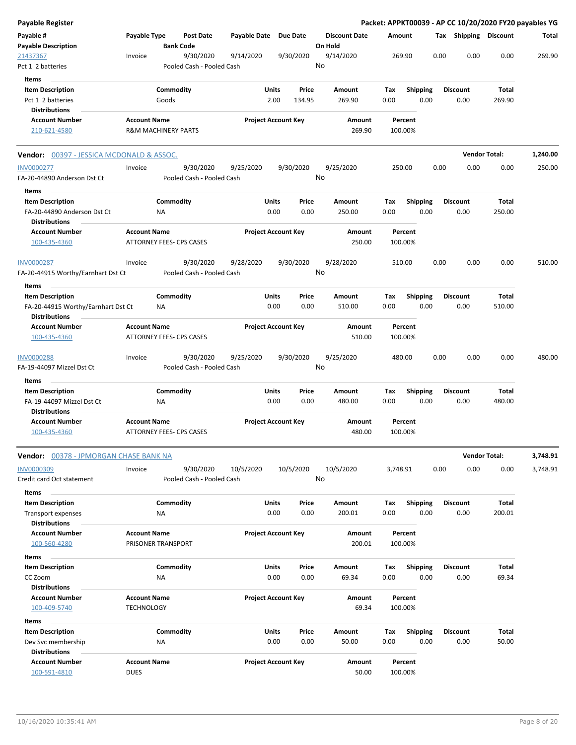| <b>Payable Register</b>                                                               |                                                       |                    |                                        |                       |                            |                 |                                 |             |                         |      |                         |                        | Packet: APPKT00039 - AP CC 10/20/2020 FY20 payables YG |
|---------------------------------------------------------------------------------------|-------------------------------------------------------|--------------------|----------------------------------------|-----------------------|----------------------------|-----------------|---------------------------------|-------------|-------------------------|------|-------------------------|------------------------|--------------------------------------------------------|
| Payable #<br><b>Payable Description</b>                                               | Payable Type                                          | <b>Bank Code</b>   | <b>Post Date</b>                       | Payable Date Due Date |                            |                 | <b>Discount Date</b><br>On Hold | Amount      |                         |      | Tax Shipping Discount   |                        | Total                                                  |
| 21437367<br>Pct 1 2 batteries                                                         | Invoice                                               |                    | 9/30/2020<br>Pooled Cash - Pooled Cash | 9/14/2020             |                            | 9/30/2020       | 9/14/2020<br>No                 |             | 269.90                  | 0.00 | 0.00                    | 0.00                   | 269.90                                                 |
| Items                                                                                 |                                                       |                    |                                        |                       |                            |                 |                                 |             |                         |      |                         |                        |                                                        |
| <b>Item Description</b><br>Pct 1 2 batteries                                          |                                                       | Commodity<br>Goods |                                        |                       | Units<br>2.00              | Price<br>134.95 | Amount<br>269.90                | Tax<br>0.00 | <b>Shipping</b><br>0.00 |      | <b>Discount</b><br>0.00 | Total<br>269.90        |                                                        |
| <b>Distributions</b>                                                                  |                                                       |                    |                                        |                       |                            |                 |                                 |             |                         |      |                         |                        |                                                        |
| <b>Account Number</b><br>210-621-4580                                                 | <b>Account Name</b><br><b>R&amp;M MACHINERY PARTS</b> |                    |                                        |                       | <b>Project Account Key</b> |                 | Amount<br>269.90                |             | Percent<br>100.00%      |      |                         |                        |                                                        |
| Vendor: 00397 - JESSICA MCDONALD & ASSOC.                                             |                                                       |                    |                                        |                       |                            |                 |                                 |             |                         |      | <b>Vendor Total:</b>    |                        | 1,240.00                                               |
| <b>INV0000277</b><br>FA-20-44890 Anderson Dst Ct                                      | Invoice                                               |                    | 9/30/2020<br>Pooled Cash - Pooled Cash | 9/25/2020             |                            | 9/30/2020       | 9/25/2020<br>No                 |             | 250.00                  | 0.00 | 0.00                    | 0.00                   | 250.00                                                 |
| Items                                                                                 |                                                       |                    |                                        |                       |                            |                 |                                 |             |                         |      |                         |                        |                                                        |
| <b>Item Description</b><br>FA-20-44890 Anderson Dst Ct<br><b>Distributions</b>        |                                                       | Commodity<br>ΝA    |                                        |                       | Units<br>0.00              | Price<br>0.00   | Amount<br>250.00                | Tax<br>0.00 | <b>Shipping</b><br>0.00 |      | <b>Discount</b><br>0.00 | <b>Total</b><br>250.00 |                                                        |
| <b>Account Number</b><br>100-435-4360                                                 | <b>Account Name</b><br>ATTORNEY FEES- CPS CASES       |                    |                                        |                       | <b>Project Account Key</b> |                 | Amount<br>250.00                |             | Percent<br>100.00%      |      |                         |                        |                                                        |
| <b>INV0000287</b><br>FA-20-44915 Worthy/Earnhart Dst Ct                               | Invoice                                               |                    | 9/30/2020<br>Pooled Cash - Pooled Cash | 9/28/2020             |                            | 9/30/2020       | 9/28/2020<br>No                 |             | 510.00                  | 0.00 | 0.00                    | 0.00                   | 510.00                                                 |
| Items                                                                                 |                                                       |                    |                                        |                       |                            |                 |                                 |             |                         |      |                         |                        |                                                        |
| <b>Item Description</b><br>FA-20-44915 Worthy/Earnhart Dst Ct<br><b>Distributions</b> |                                                       | Commodity<br>ΝA    |                                        |                       | Units<br>0.00              | Price<br>0.00   | Amount<br>510.00                | Tax<br>0.00 | <b>Shipping</b><br>0.00 |      | <b>Discount</b><br>0.00 | <b>Total</b><br>510.00 |                                                        |
| <b>Account Number</b>                                                                 | <b>Account Name</b>                                   |                    |                                        |                       | <b>Project Account Key</b> |                 | Amount                          |             | Percent                 |      |                         |                        |                                                        |
| 100-435-4360                                                                          | ATTORNEY FEES- CPS CASES                              |                    |                                        |                       |                            |                 | 510.00                          |             | 100.00%                 |      |                         |                        |                                                        |
| <b>INV0000288</b><br>FA-19-44097 Mizzel Dst Ct                                        | Invoice                                               |                    | 9/30/2020<br>Pooled Cash - Pooled Cash | 9/25/2020             |                            | 9/30/2020       | 9/25/2020<br>No                 |             | 480.00                  | 0.00 | 0.00                    | 0.00                   | 480.00                                                 |
| Items                                                                                 |                                                       |                    |                                        |                       |                            |                 |                                 |             |                         |      |                         |                        |                                                        |
| <b>Item Description</b><br>FA-19-44097 Mizzel Dst Ct<br><b>Distributions</b>          |                                                       | Commodity<br>NA    |                                        |                       | Units<br>0.00              | Price<br>0.00   | Amount<br>480.00                | Tax<br>0.00 | <b>Shipping</b><br>0.00 |      | <b>Discount</b><br>0.00 | Total<br>480.00        |                                                        |
| <b>Account Number</b><br>100-435-4360                                                 | <b>Account Name</b><br>ATTORNEY FEES- CPS CASES       |                    |                                        |                       | <b>Project Account Key</b> |                 | Amount<br>480.00                |             | Percent<br>100.00%      |      |                         |                        |                                                        |
| Vendor: 00378 - JPMORGAN CHASE BANK NA                                                |                                                       |                    |                                        |                       |                            |                 |                                 |             |                         |      | <b>Vendor Total:</b>    |                        | 3,748.91                                               |
| <b>INV0000309</b><br>Credit card Oct statement                                        | Invoice                                               |                    | 9/30/2020<br>Pooled Cash - Pooled Cash | 10/5/2020             |                            | 10/5/2020       | 10/5/2020<br>No                 | 3,748.91    |                         | 0.00 | 0.00                    | 0.00                   | 3,748.91                                               |
| Items                                                                                 |                                                       |                    |                                        |                       |                            |                 |                                 |             |                         |      |                         |                        |                                                        |
| <b>Item Description</b><br><b>Transport expenses</b><br><b>Distributions</b>          |                                                       | Commodity<br>ΝA    |                                        |                       | <b>Units</b><br>0.00       | Price<br>0.00   | <b>Amount</b><br>200.01         | Tax<br>0.00 | <b>Shipping</b><br>0.00 |      | <b>Discount</b><br>0.00 | <b>Total</b><br>200.01 |                                                        |
| <b>Account Number</b><br>100-560-4280                                                 | <b>Account Name</b><br>PRISONER TRANSPORT             |                    |                                        |                       | <b>Project Account Key</b> |                 | Amount<br>200.01                |             | Percent<br>100.00%      |      |                         |                        |                                                        |
| Items                                                                                 |                                                       |                    |                                        |                       |                            |                 |                                 |             |                         |      |                         |                        |                                                        |
| <b>Item Description</b>                                                               |                                                       | Commodity          |                                        |                       | Units                      | Price           | Amount                          | Tax         | <b>Shipping</b>         |      | <b>Discount</b>         | <b>Total</b>           |                                                        |
| CC Zoom                                                                               |                                                       | ΝA                 |                                        |                       | 0.00                       | 0.00            | 69.34                           | 0.00        | 0.00                    |      | 0.00                    | 69.34                  |                                                        |
| <b>Distributions</b><br><b>Account Number</b><br>100-409-5740                         | <b>Account Name</b><br><b>TECHNOLOGY</b>              |                    |                                        |                       | <b>Project Account Key</b> |                 | Amount<br>69.34                 |             | Percent<br>100.00%      |      |                         |                        |                                                        |
| Items                                                                                 |                                                       |                    |                                        |                       |                            |                 |                                 |             |                         |      |                         |                        |                                                        |
| <b>Item Description</b>                                                               |                                                       | Commodity          |                                        |                       | Units                      | Price           | Amount                          | Tax         | <b>Shipping</b>         |      | <b>Discount</b>         | Total                  |                                                        |
| Dev Svc membership<br><b>Distributions</b>                                            |                                                       | NA                 |                                        |                       | 0.00                       | 0.00            | 50.00                           | 0.00        | 0.00                    |      | 0.00                    | 50.00                  |                                                        |
| <b>Account Number</b><br>100-591-4810                                                 | <b>Account Name</b><br><b>DUES</b>                    |                    |                                        |                       | <b>Project Account Key</b> |                 | Amount<br>50.00                 |             | Percent<br>100.00%      |      |                         |                        |                                                        |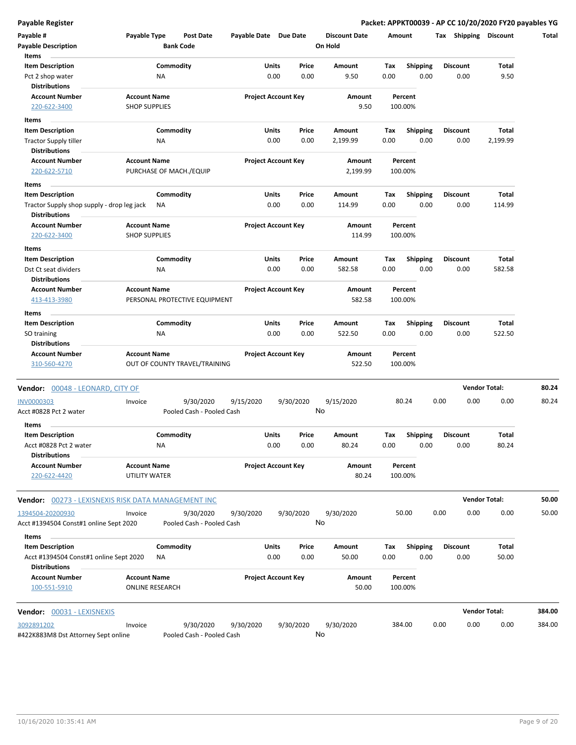**Payable Register Packet: APPKT00039 - AP CC 10/20/2020 FY20 payables YG**

| Payable #                                                          | Payable Type                                | <b>Post Date</b>          | Payable Date Due Date |                                | <b>Discount Date</b> |             | Amount                  | Tax             | Shipping | <b>Discount</b>      | Total  |
|--------------------------------------------------------------------|---------------------------------------------|---------------------------|-----------------------|--------------------------------|----------------------|-------------|-------------------------|-----------------|----------|----------------------|--------|
| <b>Payable Description</b>                                         |                                             | <b>Bank Code</b>          |                       |                                | On Hold              |             |                         |                 |          |                      |        |
| Items                                                              |                                             |                           |                       |                                |                      |             |                         |                 |          |                      |        |
| <b>Item Description</b>                                            |                                             | Commodity                 |                       | Units<br>Price                 | Amount               | Tax         | <b>Shipping</b>         | <b>Discount</b> |          | Total                |        |
| Pct 2 shop water                                                   | NA                                          |                           |                       | 0.00<br>0.00                   | 9.50                 | 0.00        | 0.00                    |                 | 0.00     | 9.50                 |        |
| <b>Distributions</b>                                               |                                             |                           |                       |                                |                      |             |                         |                 |          |                      |        |
| <b>Account Number</b><br>220-622-3400                              | <b>Account Name</b><br><b>SHOP SUPPLIES</b> |                           |                       | <b>Project Account Key</b>     | Amount<br>9.50       |             | Percent<br>100.00%      |                 |          |                      |        |
|                                                                    |                                             |                           |                       |                                |                      |             |                         |                 |          |                      |        |
| Items                                                              |                                             |                           |                       |                                |                      |             |                         |                 |          |                      |        |
| <b>Item Description</b>                                            |                                             | Commodity                 |                       | Units<br>Price                 | Amount               | Tax         | <b>Shipping</b>         | <b>Discount</b> |          | Total                |        |
| <b>Tractor Supply tiller</b>                                       | NA                                          |                           |                       | 0.00<br>0.00                   | 2,199.99             | 0.00        | 0.00                    |                 | 0.00     | 2,199.99             |        |
| <b>Distributions</b><br><b>Account Number</b>                      | <b>Account Name</b>                         |                           |                       | <b>Project Account Key</b>     |                      |             | Percent                 |                 |          |                      |        |
| 220-622-5710                                                       | PURCHASE OF MACH./EQUIP                     |                           |                       |                                | Amount<br>2,199.99   |             | 100.00%                 |                 |          |                      |        |
|                                                                    |                                             |                           |                       |                                |                      |             |                         |                 |          |                      |        |
| Items                                                              |                                             |                           |                       |                                |                      |             |                         |                 |          |                      |        |
| <b>Item Description</b>                                            |                                             | Commodity                 |                       | Units<br>Price                 | Amount               | Tax         | <b>Shipping</b>         | Discount        |          | Total                |        |
| Tractor Supply shop supply - drop leg jack<br><b>Distributions</b> | ΝA                                          |                           |                       | 0.00<br>0.00                   | 114.99               | 0.00        | 0.00                    |                 | 0.00     | 114.99               |        |
| <b>Account Number</b>                                              | <b>Account Name</b>                         |                           |                       | <b>Project Account Key</b>     | <b>Amount</b>        |             | Percent                 |                 |          |                      |        |
| 220-622-3400                                                       | <b>SHOP SUPPLIES</b>                        |                           |                       |                                | 114.99               |             | 100.00%                 |                 |          |                      |        |
|                                                                    |                                             |                           |                       |                                |                      |             |                         |                 |          |                      |        |
| Items                                                              |                                             |                           |                       |                                |                      |             |                         |                 |          |                      |        |
| <b>Item Description</b><br>Dst Ct seat dividers                    |                                             | Commodity                 |                       | Units<br>Price<br>0.00<br>0.00 | Amount<br>582.58     | Tax<br>0.00 | <b>Shipping</b><br>0.00 | <b>Discount</b> | 0.00     | Total<br>582.58      |        |
| <b>Distributions</b>                                               | ΝA                                          |                           |                       |                                |                      |             |                         |                 |          |                      |        |
| <b>Account Number</b>                                              | <b>Account Name</b>                         |                           |                       | <b>Project Account Key</b>     | Amount               |             | Percent                 |                 |          |                      |        |
| 413-413-3980                                                       | PERSONAL PROTECTIVE EQUIPMENT               |                           |                       |                                | 582.58               |             | 100.00%                 |                 |          |                      |        |
|                                                                    |                                             |                           |                       |                                |                      |             |                         |                 |          |                      |        |
| Items<br><b>Item Description</b>                                   |                                             | Commodity                 |                       | Units<br>Price                 | Amount               | Тах         | <b>Shipping</b>         | <b>Discount</b> |          | Total                |        |
| SO training                                                        | NA                                          |                           |                       | 0.00<br>0.00                   | 522.50               | 0.00        | 0.00                    |                 | 0.00     | 522.50               |        |
| <b>Distributions</b>                                               |                                             |                           |                       |                                |                      |             |                         |                 |          |                      |        |
| <b>Account Number</b>                                              | <b>Account Name</b>                         |                           |                       | <b>Project Account Key</b>     | Amount               |             | Percent                 |                 |          |                      |        |
| 310-560-4270                                                       | OUT OF COUNTY TRAVEL/TRAINING               |                           |                       |                                | 522.50               |             | 100.00%                 |                 |          |                      |        |
|                                                                    |                                             |                           |                       |                                |                      |             |                         |                 |          |                      |        |
| Vendor: 00048 - LEONARD, CITY OF                                   |                                             |                           |                       |                                |                      |             |                         |                 |          | <b>Vendor Total:</b> | 80.24  |
| <b>INV0000303</b>                                                  | Invoice                                     | 9/30/2020                 | 9/15/2020             | 9/30/2020                      | 9/15/2020            |             | 80.24                   | 0.00            | 0.00     | 0.00                 | 80.24  |
| Acct #0828 Pct 2 water                                             |                                             | Pooled Cash - Pooled Cash |                       |                                | No                   |             |                         |                 |          |                      |        |
|                                                                    |                                             |                           |                       |                                |                      |             |                         |                 |          |                      |        |
| Items                                                              |                                             |                           |                       |                                |                      |             |                         |                 |          |                      |        |
| <b>Item Description</b><br>Acct #0828 Pct 2 water                  | NA                                          | Commodity                 |                       | Units<br>Price<br>0.00<br>0.00 | Amount<br>80.24      | Tax<br>0.00 | <b>Shipping</b><br>0.00 | Discount        | 0.00     | Total<br>80.24       |        |
| <b>Distributions</b>                                               |                                             |                           |                       |                                |                      |             |                         |                 |          |                      |        |
| <b>Account Number</b>                                              | <b>Account Name</b>                         |                           |                       | <b>Project Account Key</b>     | Amount               |             | Percent                 |                 |          |                      |        |
| 220-622-4420                                                       | UTILITY WATER                               |                           |                       |                                | 80.24                |             | 100.00%                 |                 |          |                      |        |
|                                                                    |                                             |                           |                       |                                |                      |             |                         |                 |          |                      |        |
| Vendor: 00273 - LEXISNEXIS RISK DATA MANAGEMENT INC                |                                             |                           |                       |                                |                      |             |                         |                 |          | <b>Vendor Total:</b> | 50.00  |
|                                                                    |                                             |                           |                       |                                |                      |             |                         |                 |          |                      |        |
| 1394504-20200930                                                   | Invoice                                     | 9/30/2020                 | 9/30/2020             | 9/30/2020                      | 9/30/2020            |             | 50.00                   | 0.00            | 0.00     | 0.00                 | 50.00  |
| Acct #1394504 Const#1 online Sept 2020                             |                                             | Pooled Cash - Pooled Cash |                       |                                | No                   |             |                         |                 |          |                      |        |
| Items                                                              |                                             |                           |                       |                                |                      |             |                         |                 |          |                      |        |
| <b>Item Description</b>                                            |                                             | Commodity                 |                       | Units<br>Price                 | Amount               | Tax         | <b>Shipping</b>         | <b>Discount</b> |          | Total                |        |
| Acct #1394504 Const#1 online Sept 2020                             | ΝA                                          |                           |                       | 0.00<br>0.00                   | 50.00                | 0.00        | 0.00                    |                 | 0.00     | 50.00                |        |
| <b>Distributions</b>                                               |                                             |                           |                       |                                |                      |             |                         |                 |          |                      |        |
| <b>Account Number</b>                                              | <b>Account Name</b>                         |                           |                       | <b>Project Account Key</b>     | Amount               |             | Percent                 |                 |          |                      |        |
| 100-551-5910                                                       | <b>ONLINE RESEARCH</b>                      |                           |                       |                                | 50.00                |             | 100.00%                 |                 |          |                      |        |
|                                                                    |                                             |                           |                       |                                |                      |             |                         |                 |          |                      |        |
| <b>Vendor:</b> 00031 - LEXISNEXIS                                  |                                             |                           |                       |                                |                      |             |                         |                 |          | <b>Vendor Total:</b> | 384.00 |
| 3092891202                                                         | Invoice                                     | 9/30/2020                 | 9/30/2020             | 9/30/2020                      | 9/30/2020            |             | 384.00                  | 0.00            | 0.00     | 0.00                 | 384.00 |
| #422K883M8 Dst Attorney Sept online                                |                                             | Pooled Cash - Pooled Cash |                       |                                | No                   |             |                         |                 |          |                      |        |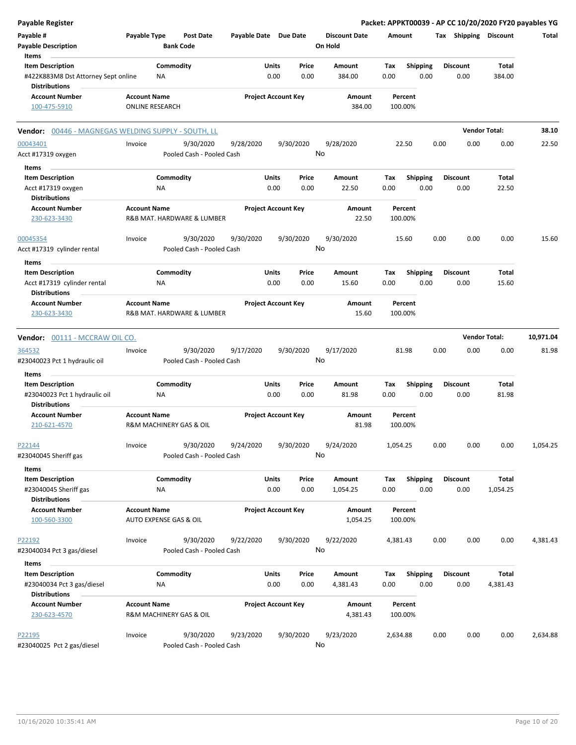| Payable Register                                    |                        |                                        |                       |                            |                      |          |                 |      |                       |                      | Packet: APPKT00039 - AP CC 10/20/2020 FY20 payables YG |
|-----------------------------------------------------|------------------------|----------------------------------------|-----------------------|----------------------------|----------------------|----------|-----------------|------|-----------------------|----------------------|--------------------------------------------------------|
| Payable #                                           | Payable Type           | <b>Post Date</b>                       | Payable Date Due Date |                            | <b>Discount Date</b> | Amount   |                 |      | Tax Shipping Discount |                      | Total                                                  |
| <b>Payable Description</b>                          |                        | <b>Bank Code</b>                       |                       |                            | On Hold              |          |                 |      |                       |                      |                                                        |
| Items                                               |                        |                                        |                       |                            |                      |          |                 |      |                       |                      |                                                        |
| <b>Item Description</b>                             |                        | Commodity                              | Units                 | Price                      | Amount               | Tax      | <b>Shipping</b> |      | <b>Discount</b>       | Total                |                                                        |
| #422K883M8 Dst Attorney Sept online                 | <b>NA</b>              |                                        |                       | 0.00<br>0.00               | 384.00               | 0.00     | 0.00            |      | 0.00                  | 384.00               |                                                        |
| <b>Distributions</b>                                |                        |                                        |                       |                            |                      |          |                 |      |                       |                      |                                                        |
| <b>Account Number</b>                               | <b>Account Name</b>    |                                        |                       | <b>Project Account Key</b> | Amount               |          | Percent         |      |                       |                      |                                                        |
| 100-475-5910                                        | <b>ONLINE RESEARCH</b> |                                        |                       |                            | 384.00               | 100.00%  |                 |      |                       |                      |                                                        |
| Vendor: 00446 - MAGNEGAS WELDING SUPPLY - SOUTH, LL |                        |                                        |                       |                            |                      |          |                 |      |                       | <b>Vendor Total:</b> | 38.10                                                  |
| 00043401                                            | Invoice                | 9/30/2020                              | 9/28/2020             | 9/30/2020                  | 9/28/2020            |          | 22.50           | 0.00 | 0.00                  | 0.00                 | 22.50                                                  |
| Acct #17319 oxygen                                  |                        | Pooled Cash - Pooled Cash              |                       |                            | No                   |          |                 |      |                       |                      |                                                        |
| Items                                               |                        |                                        |                       |                            |                      |          |                 |      |                       |                      |                                                        |
| <b>Item Description</b>                             |                        | Commodity                              | Units                 | Price                      | Amount               | Tax      | <b>Shipping</b> |      | <b>Discount</b>       | Total                |                                                        |
| Acct #17319 oxygen                                  | ΝA                     |                                        |                       | 0.00<br>0.00               | 22.50                | 0.00     | 0.00            |      | 0.00                  | 22.50                |                                                        |
| <b>Distributions</b>                                |                        |                                        |                       |                            |                      |          |                 |      |                       |                      |                                                        |
| <b>Account Number</b>                               | <b>Account Name</b>    |                                        |                       | <b>Project Account Key</b> | Amount               |          | Percent         |      |                       |                      |                                                        |
| 230-623-3430                                        |                        | R&B MAT. HARDWARE & LUMBER             |                       |                            | 22.50                | 100.00%  |                 |      |                       |                      |                                                        |
| 00045354                                            | Invoice                | 9/30/2020                              | 9/30/2020             | 9/30/2020                  | 9/30/2020            |          | 15.60           | 0.00 | 0.00                  | 0.00                 | 15.60                                                  |
| Acct #17319 cylinder rental                         |                        | Pooled Cash - Pooled Cash              |                       |                            | No                   |          |                 |      |                       |                      |                                                        |
| Items                                               |                        |                                        |                       |                            |                      |          |                 |      |                       |                      |                                                        |
| <b>Item Description</b>                             |                        | Commodity                              | Units                 | Price                      | <b>Amount</b>        | Tax      | Shipping        |      | <b>Discount</b>       | Total                |                                                        |
| Acct #17319 cylinder rental                         | ΝA                     |                                        |                       | 0.00<br>0.00               | 15.60                | 0.00     | 0.00            |      | 0.00                  | 15.60                |                                                        |
| <b>Distributions</b>                                |                        |                                        |                       |                            |                      |          |                 |      |                       |                      |                                                        |
| <b>Account Number</b>                               | <b>Account Name</b>    |                                        |                       | <b>Project Account Key</b> | Amount               |          | Percent         |      |                       |                      |                                                        |
| 230-623-3430                                        |                        | R&B MAT. HARDWARE & LUMBER             |                       |                            | 15.60                | 100.00%  |                 |      |                       |                      |                                                        |
|                                                     |                        |                                        |                       |                            |                      |          |                 |      |                       |                      |                                                        |
| Vendor: 00111 - MCCRAW OIL CO.                      |                        |                                        |                       |                            |                      |          |                 |      |                       | <b>Vendor Total:</b> | 10,971.04                                              |
| 364532                                              | Invoice                | 9/30/2020                              | 9/17/2020             | 9/30/2020                  | 9/17/2020            |          | 81.98           | 0.00 | 0.00                  | 0.00                 | 81.98                                                  |
| #23040023 Pct 1 hydraulic oil                       |                        | Pooled Cash - Pooled Cash              |                       |                            | No                   |          |                 |      |                       |                      |                                                        |
| Items                                               |                        |                                        |                       |                            |                      |          |                 |      |                       |                      |                                                        |
| <b>Item Description</b>                             |                        | Commodity                              | Units                 | Price                      | Amount               | Tax      | <b>Shipping</b> |      | <b>Discount</b>       | Total                |                                                        |
| #23040023 Pct 1 hydraulic oil                       | ΝA                     |                                        |                       | 0.00<br>0.00               | 81.98                | 0.00     | 0.00            |      | 0.00                  | 81.98                |                                                        |
| <b>Distributions</b>                                |                        |                                        |                       |                            |                      |          |                 |      |                       |                      |                                                        |
| <b>Account Number</b>                               | <b>Account Name</b>    |                                        |                       | <b>Project Account Key</b> | Amount               |          | Percent         |      |                       |                      |                                                        |
| 210-621-4570                                        |                        | <b>R&amp;M MACHINERY GAS &amp; OIL</b> |                       |                            | 81.98                | 100.00%  |                 |      |                       |                      |                                                        |
| P22144                                              | Invoice                | 9/30/2020                              | 9/24/2020             | 9/30/2020                  | 9/24/2020            | 1,054.25 |                 | 0.00 | 0.00                  | 0.00                 | 1,054.25                                               |
| #23040045 Sheriff gas                               |                        | Pooled Cash - Pooled Cash              |                       |                            | No                   |          |                 |      |                       |                      |                                                        |
| Items                                               |                        |                                        |                       |                            |                      |          |                 |      |                       |                      |                                                        |
| <b>Item Description</b>                             |                        | Commodity                              | Units                 | Price                      | Amount               | Tax      | <b>Shipping</b> |      | <b>Discount</b>       | Total                |                                                        |
| #23040045 Sheriff gas                               | ΝA                     |                                        |                       | 0.00<br>0.00               | 1,054.25             | 0.00     | 0.00            |      | 0.00                  | 1,054.25             |                                                        |
| <b>Distributions</b>                                |                        |                                        |                       |                            |                      |          |                 |      |                       |                      |                                                        |
| <b>Account Number</b>                               | <b>Account Name</b>    |                                        |                       | <b>Project Account Key</b> | Amount               |          | Percent         |      |                       |                      |                                                        |
| 100-560-3300                                        | AUTO EXPENSE GAS & OIL |                                        |                       |                            | 1,054.25             | 100.00%  |                 |      |                       |                      |                                                        |
|                                                     |                        |                                        |                       |                            |                      |          |                 |      |                       |                      |                                                        |
| P22192                                              | Invoice                | 9/30/2020                              | 9/22/2020             | 9/30/2020                  | 9/22/2020            | 4,381.43 |                 | 0.00 | 0.00                  | 0.00                 | 4,381.43                                               |
| #23040034 Pct 3 gas/diesel                          |                        | Pooled Cash - Pooled Cash              |                       |                            | No                   |          |                 |      |                       |                      |                                                        |
| Items                                               |                        |                                        |                       |                            |                      |          |                 |      |                       |                      |                                                        |
| <b>Item Description</b>                             |                        | Commodity                              | Units                 | Price                      | Amount               | Tax      | Shipping        |      | <b>Discount</b>       | Total                |                                                        |
| #23040034 Pct 3 gas/diesel                          | NA                     |                                        |                       | 0.00<br>0.00               | 4,381.43             | 0.00     | 0.00            |      | 0.00                  | 4,381.43             |                                                        |
| <b>Distributions</b>                                |                        |                                        |                       |                            |                      |          |                 |      |                       |                      |                                                        |
| <b>Account Number</b>                               | <b>Account Name</b>    |                                        |                       | <b>Project Account Key</b> | Amount               |          | Percent         |      |                       |                      |                                                        |
| 230-623-4570                                        |                        | R&M MACHINERY GAS & OIL                |                       |                            | 4,381.43             | 100.00%  |                 |      |                       |                      |                                                        |
|                                                     |                        |                                        |                       |                            |                      |          |                 |      |                       |                      |                                                        |
| P22195                                              | Invoice                | 9/30/2020                              | 9/23/2020             | 9/30/2020                  | 9/23/2020            | 2,634.88 |                 | 0.00 | 0.00                  | 0.00                 | 2,634.88                                               |
| #23040025 Pct 2 gas/diesel                          |                        | Pooled Cash - Pooled Cash              |                       |                            | No                   |          |                 |      |                       |                      |                                                        |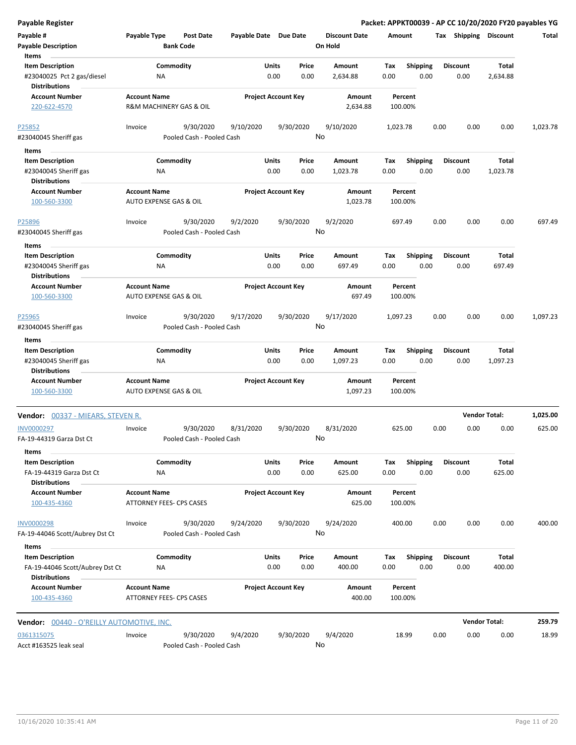| <b>Payable Register</b>                                                       |                                               |                                        |                            |               |                 |                                 |             |                         |      |                         |                      | Packet: APPKT00039 - AP CC 10/20/2020 FY20 payables YG |
|-------------------------------------------------------------------------------|-----------------------------------------------|----------------------------------------|----------------------------|---------------|-----------------|---------------------------------|-------------|-------------------------|------|-------------------------|----------------------|--------------------------------------------------------|
| Payable #<br><b>Payable Description</b>                                       | Payable Type                                  | <b>Post Date</b><br><b>Bank Code</b>   | Payable Date Due Date      |               |                 | <b>Discount Date</b><br>On Hold | Amount      |                         |      | Tax Shipping Discount   |                      | Total                                                  |
| Items                                                                         |                                               |                                        |                            |               |                 |                                 |             |                         |      |                         |                      |                                                        |
| <b>Item Description</b><br>#23040025 Pct 2 gas/diesel<br><b>Distributions</b> | <b>NA</b>                                     | Commodity                              |                            | Units<br>0.00 | Price<br>0.00   | Amount<br>2,634.88              | Tax<br>0.00 | Shipping<br>0.00        |      | <b>Discount</b><br>0.00 | Total<br>2,634.88    |                                                        |
| <b>Account Number</b><br>220-622-4570                                         | <b>Account Name</b>                           | R&M MACHINERY GAS & OIL                | <b>Project Account Key</b> |               |                 | Amount<br>2,634.88              | 100.00%     | Percent                 |      |                         |                      |                                                        |
|                                                                               |                                               |                                        |                            |               |                 |                                 |             |                         |      |                         |                      |                                                        |
| P25852<br>#23040045 Sheriff gas                                               | Invoice                                       | 9/30/2020<br>Pooled Cash - Pooled Cash | 9/10/2020                  |               | 9/30/2020<br>No | 9/10/2020                       | 1,023.78    |                         | 0.00 | 0.00                    | 0.00                 | 1,023.78                                               |
| Items                                                                         |                                               |                                        |                            |               |                 |                                 |             |                         |      |                         |                      |                                                        |
| <b>Item Description</b>                                                       |                                               | Commodity                              |                            | Units         | Price           | Amount                          | Tax         | <b>Shipping</b>         |      | <b>Discount</b>         | Total                |                                                        |
| #23040045 Sheriff gas<br><b>Distributions</b>                                 | ΝA                                            |                                        |                            | 0.00          | 0.00            | 1,023.78                        | 0.00        | 0.00                    |      | 0.00                    | 1,023.78             |                                                        |
| <b>Account Number</b><br>100-560-3300                                         | <b>Account Name</b><br>AUTO EXPENSE GAS & OIL |                                        | <b>Project Account Key</b> |               |                 | Amount<br>1,023.78              | 100.00%     | Percent                 |      |                         |                      |                                                        |
| P25896<br>#23040045 Sheriff gas                                               | Invoice                                       | 9/30/2020<br>Pooled Cash - Pooled Cash | 9/2/2020                   |               | 9/30/2020<br>No | 9/2/2020                        | 697.49      |                         | 0.00 | 0.00                    | 0.00                 | 697.49                                                 |
| Items                                                                         |                                               |                                        |                            |               |                 |                                 |             |                         |      |                         |                      |                                                        |
| <b>Item Description</b><br>#23040045 Sheriff gas                              | ΝA                                            | Commodity                              |                            | Units<br>0.00 | Price<br>0.00   | Amount<br>697.49                | Tax<br>0.00 | <b>Shipping</b><br>0.00 |      | <b>Discount</b><br>0.00 | Total<br>697.49      |                                                        |
| <b>Distributions</b>                                                          |                                               |                                        |                            |               |                 |                                 |             |                         |      |                         |                      |                                                        |
| <b>Account Number</b><br>100-560-3300                                         | <b>Account Name</b><br>AUTO EXPENSE GAS & OIL |                                        | <b>Project Account Key</b> |               |                 | Amount<br>697.49                | 100.00%     | Percent                 |      |                         |                      |                                                        |
| P25965<br>#23040045 Sheriff gas                                               | Invoice                                       | 9/30/2020<br>Pooled Cash - Pooled Cash | 9/17/2020                  |               | 9/30/2020       | 9/17/2020<br>No                 | 1,097.23    |                         | 0.00 | 0.00                    | 0.00                 | 1,097.23                                               |
| Items                                                                         |                                               |                                        |                            |               |                 |                                 |             |                         |      |                         |                      |                                                        |
| <b>Item Description</b><br>#23040045 Sheriff gas<br><b>Distributions</b>      | <b>NA</b>                                     | Commodity                              |                            | Units<br>0.00 | Price<br>0.00   | Amount<br>1,097.23              | Tax<br>0.00 | <b>Shipping</b><br>0.00 |      | <b>Discount</b><br>0.00 | Total<br>1,097.23    |                                                        |
| <b>Account Number</b>                                                         | <b>Account Name</b>                           |                                        | <b>Project Account Key</b> |               |                 | Amount                          |             | Percent                 |      |                         |                      |                                                        |
| 100-560-3300                                                                  | AUTO EXPENSE GAS & OIL                        |                                        |                            |               |                 | 1,097.23                        | 100.00%     |                         |      |                         |                      |                                                        |
| <b>Vendor: 00337 - MIEARS, STEVEN R.</b>                                      |                                               |                                        |                            |               |                 |                                 |             |                         |      |                         | <b>Vendor Total:</b> | 1,025.00                                               |
| <b>INV0000297</b><br>FA-19-44319 Garza Dst Ct                                 | Invoice                                       | 9/30/2020<br>Pooled Cash - Pooled Cash | 8/31/2020                  |               | 9/30/2020       | 8/31/2020<br>No                 | 625.00      |                         | 0.00 | 0.00                    | 0.00                 | 625.00                                                 |
| Items                                                                         |                                               |                                        |                            |               |                 |                                 |             |                         |      |                         |                      |                                                        |
| <b>Item Description</b>                                                       |                                               | Commodity                              |                            | Units         | Price           | Amount                          | Tax         | <b>Shipping</b>         |      | <b>Discount</b>         | Total                |                                                        |
| FA-19-44319 Garza Dst Ct<br><b>Distributions</b>                              | ΝA                                            |                                        |                            | 0.00          | 0.00            | 625.00                          | 0.00        | 0.00                    |      | 0.00                    | 625.00               |                                                        |
| <b>Account Number</b><br>100-435-4360                                         | <b>Account Name</b>                           | <b>ATTORNEY FEES- CPS CASES</b>        | <b>Project Account Key</b> |               |                 | Amount<br>625.00                | 100.00%     | Percent                 |      |                         |                      |                                                        |
| <b>INV0000298</b>                                                             | Invoice                                       | 9/30/2020                              | 9/24/2020                  |               | 9/30/2020       | 9/24/2020                       | 400.00      |                         | 0.00 | 0.00                    | 0.00                 | 400.00                                                 |
| FA-19-44046 Scott/Aubrey Dst Ct<br>Items                                      |                                               | Pooled Cash - Pooled Cash              |                            |               | No              |                                 |             |                         |      |                         |                      |                                                        |
| <b>Item Description</b>                                                       |                                               | Commodity                              |                            | Units         | Price           | Amount                          | Tax         | Shipping                |      | <b>Discount</b>         | Total                |                                                        |
| FA-19-44046 Scott/Aubrey Dst Ct<br><b>Distributions</b>                       | NA                                            |                                        |                            | 0.00          | 0.00            | 400.00                          | 0.00        | 0.00                    |      | 0.00                    | 400.00               |                                                        |
| <b>Account Number</b><br>100-435-4360                                         | <b>Account Name</b>                           | ATTORNEY FEES- CPS CASES               | <b>Project Account Key</b> |               |                 | Amount<br>400.00                | 100.00%     | Percent                 |      |                         |                      |                                                        |
| <b>Vendor:</b> 00440 - O'REILLY AUTOMOTIVE, INC.                              |                                               |                                        |                            |               |                 |                                 |             |                         |      |                         | <b>Vendor Total:</b> | 259.79                                                 |
| 0361315075                                                                    | Invoice                                       | 9/30/2020                              | 9/4/2020                   |               | 9/30/2020       | 9/4/2020                        |             | 18.99                   | 0.00 | 0.00                    | 0.00                 | 18.99                                                  |
| Acct #163525 leak seal                                                        |                                               | Pooled Cash - Pooled Cash              |                            |               |                 | No                              |             |                         |      |                         |                      |                                                        |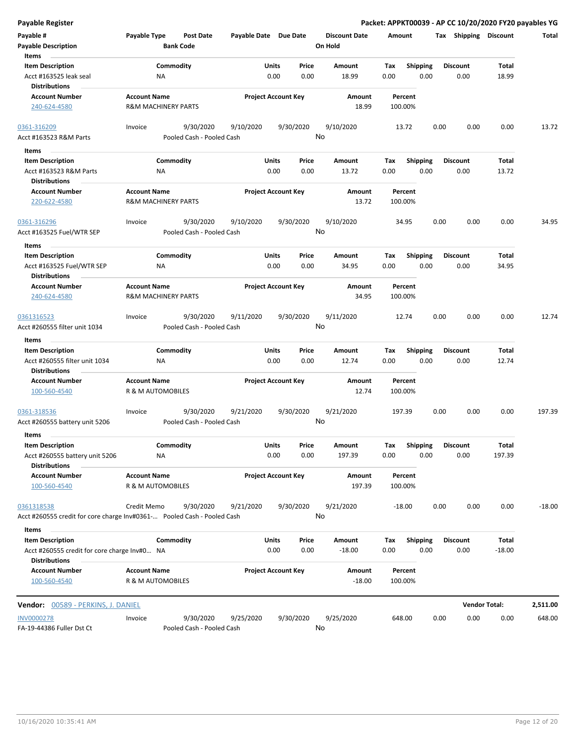|  | Payable Register |
|--|------------------|

| Payable Register                                                        |                                          |                           |                       |                            |                      |                    |                 |      |                       | Packet: APPKT00039 - AP CC 10/20/2020 FY20 payables YG |          |
|-------------------------------------------------------------------------|------------------------------------------|---------------------------|-----------------------|----------------------------|----------------------|--------------------|-----------------|------|-----------------------|--------------------------------------------------------|----------|
| Payable #                                                               | Payable Type                             | <b>Post Date</b>          | Payable Date Due Date |                            | <b>Discount Date</b> | Amount             |                 |      | Tax Shipping Discount |                                                        | Total    |
| <b>Payable Description</b>                                              |                                          | <b>Bank Code</b>          |                       |                            | On Hold              |                    |                 |      |                       |                                                        |          |
| Items                                                                   |                                          |                           |                       |                            |                      |                    |                 |      |                       |                                                        |          |
| <b>Item Description</b>                                                 |                                          | Commodity                 |                       | Units<br>Price             | Amount               | Tax                | Shipping        |      | <b>Discount</b>       | Total                                                  |          |
| Acct #163525 leak seal<br><b>Distributions</b>                          | ΝA                                       |                           |                       | 0.00<br>0.00               | 18.99                | 0.00               | 0.00            |      | 0.00                  | 18.99                                                  |          |
| <b>Account Number</b>                                                   | <b>Account Name</b>                      |                           |                       | <b>Project Account Key</b> | Amount               | Percent            |                 |      |                       |                                                        |          |
| 240-624-4580                                                            | <b>R&amp;M MACHINERY PARTS</b>           |                           |                       |                            | 18.99                | 100.00%            |                 |      |                       |                                                        |          |
| 0361-316209                                                             | Invoice                                  | 9/30/2020                 | 9/10/2020             | 9/30/2020                  | 9/10/2020            | 13.72              |                 | 0.00 | 0.00                  | 0.00                                                   | 13.72    |
| Acct #163523 R&M Parts                                                  |                                          | Pooled Cash - Pooled Cash |                       |                            | No                   |                    |                 |      |                       |                                                        |          |
| Items                                                                   |                                          |                           |                       |                            |                      |                    |                 |      |                       |                                                        |          |
| <b>Item Description</b>                                                 |                                          | Commodity                 |                       | Units<br>Price             | Amount               | Tax                | <b>Shipping</b> |      | <b>Discount</b>       | Total                                                  |          |
| Acct #163523 R&M Parts                                                  | ΝA                                       |                           |                       | 0.00<br>0.00               | 13.72                | 0.00               | 0.00            |      | 0.00                  | 13.72                                                  |          |
| <b>Distributions</b>                                                    |                                          |                           |                       |                            |                      |                    |                 |      |                       |                                                        |          |
| <b>Account Number</b>                                                   | <b>Account Name</b>                      |                           |                       | <b>Project Account Key</b> | Amount               | Percent            |                 |      |                       |                                                        |          |
| 220-622-4580                                                            | <b>R&amp;M MACHINERY PARTS</b>           |                           |                       |                            | 13.72                | 100.00%            |                 |      |                       |                                                        |          |
| 0361-316296                                                             | Invoice                                  | 9/30/2020                 | 9/10/2020             | 9/30/2020                  | 9/10/2020            | 34.95              |                 | 0.00 | 0.00                  | 0.00                                                   | 34.95    |
| Acct #163525 Fuel/WTR SEP                                               |                                          | Pooled Cash - Pooled Cash |                       |                            | No                   |                    |                 |      |                       |                                                        |          |
| Items                                                                   |                                          |                           |                       |                            |                      |                    |                 |      |                       |                                                        |          |
| <b>Item Description</b>                                                 |                                          | Commodity                 |                       | Units<br>Price             | Amount               | Tax                | <b>Shipping</b> |      | <b>Discount</b>       | Total                                                  |          |
| Acct #163525 Fuel/WTR SEP                                               | <b>NA</b>                                |                           |                       | 0.00<br>0.00               | 34.95                | 0.00               | 0.00            |      | 0.00                  | 34.95                                                  |          |
| <b>Distributions</b>                                                    |                                          |                           |                       |                            |                      |                    |                 |      |                       |                                                        |          |
| <b>Account Number</b>                                                   | <b>Account Name</b>                      |                           |                       | <b>Project Account Key</b> | Amount               | Percent            |                 |      |                       |                                                        |          |
| 240-624-4580                                                            | <b>R&amp;M MACHINERY PARTS</b>           |                           |                       |                            | 34.95                | 100.00%            |                 |      |                       |                                                        |          |
| 0361316523                                                              | Invoice                                  | 9/30/2020                 | 9/11/2020             | 9/30/2020                  | 9/11/2020            | 12.74              |                 | 0.00 | 0.00                  | 0.00                                                   | 12.74    |
| Acct #260555 filter unit 1034                                           |                                          | Pooled Cash - Pooled Cash |                       |                            | No                   |                    |                 |      |                       |                                                        |          |
| Items                                                                   |                                          |                           |                       |                            |                      |                    |                 |      |                       |                                                        |          |
| <b>Item Description</b>                                                 |                                          | Commodity                 |                       | Units<br>Price             | Amount               | Tax                | <b>Shipping</b> |      | <b>Discount</b>       | Total                                                  |          |
| Acct #260555 filter unit 1034                                           | ΝA                                       |                           |                       | 0.00<br>0.00               | 12.74                | 0.00               | 0.00            |      | 0.00                  | 12.74                                                  |          |
| <b>Distributions</b>                                                    |                                          |                           |                       |                            |                      |                    |                 |      |                       |                                                        |          |
| <b>Account Number</b>                                                   | <b>Account Name</b>                      |                           |                       | <b>Project Account Key</b> | Amount               | Percent            |                 |      |                       |                                                        |          |
| 100-560-4540                                                            | R & M AUTOMOBILES                        |                           |                       |                            | 12.74                | 100.00%            |                 |      |                       |                                                        |          |
| 0361-318536                                                             | Invoice                                  | 9/30/2020                 | 9/21/2020             | 9/30/2020                  | 9/21/2020            | 197.39             |                 | 0.00 | 0.00                  | 0.00                                                   | 197.39   |
| Acct #260555 battery unit 5206                                          |                                          | Pooled Cash - Pooled Cash |                       |                            | No                   |                    |                 |      |                       |                                                        |          |
| Items                                                                   |                                          |                           |                       |                            |                      |                    |                 |      |                       |                                                        |          |
| <b>Item Description</b>                                                 |                                          | Commodity                 |                       | Units<br>Price             | Amount               | Tax                | Shipping        |      | <b>Discount</b>       | Total                                                  |          |
| Acct #260555 battery unit 5206                                          | <b>NA</b>                                |                           |                       | 0.00<br>0.00               | 197.39               | 0.00               | 0.00            |      | 0.00                  | 197.39                                                 |          |
| <b>Distributions</b>                                                    |                                          |                           |                       |                            |                      |                    |                 |      |                       |                                                        |          |
| <b>Account Number</b><br>100-560-4540                                   | <b>Account Name</b><br>R & M AUTOMOBILES |                           |                       | <b>Project Account Key</b> | Amount<br>197.39     | Percent<br>100.00% |                 |      |                       |                                                        |          |
| 0361318538                                                              | Credit Memo                              | 9/30/2020                 | 9/21/2020             | 9/30/2020                  | 9/21/2020            | $-18.00$           |                 | 0.00 | 0.00                  | 0.00                                                   | $-18.00$ |
| Acct #260555 credit for core charge Inv#0361- Pooled Cash - Pooled Cash |                                          |                           |                       |                            | No                   |                    |                 |      |                       |                                                        |          |
| Items                                                                   |                                          |                           |                       |                            |                      |                    |                 |      |                       |                                                        |          |
| <b>Item Description</b>                                                 |                                          | Commodity                 |                       | Units<br>Price             | Amount               | Тах                | <b>Shipping</b> |      | <b>Discount</b>       | Total                                                  |          |
| Acct #260555 credit for core charge Inv#0 NA                            |                                          |                           |                       | 0.00<br>0.00               | $-18.00$             | 0.00               | 0.00            |      | 0.00                  | $-18.00$                                               |          |
| <b>Distributions</b>                                                    |                                          |                           |                       |                            |                      |                    |                 |      |                       |                                                        |          |
| <b>Account Number</b>                                                   | <b>Account Name</b>                      |                           |                       | <b>Project Account Key</b> | Amount               | Percent            |                 |      |                       |                                                        |          |
| 100-560-4540                                                            | R & M AUTOMOBILES                        |                           |                       |                            | $-18.00$             | 100.00%            |                 |      |                       |                                                        |          |
| Vendor: 00589 - PERKINS, J. DANIEL                                      |                                          |                           |                       |                            |                      |                    |                 |      |                       | <b>Vendor Total:</b>                                   | 2,511.00 |
|                                                                         |                                          |                           |                       |                            |                      |                    |                 |      |                       |                                                        |          |
| INV0000278                                                              | Invoice                                  | 9/30/2020                 | 9/25/2020             | 9/30/2020                  | 9/25/2020            | 648.00             |                 | 0.00 | 0.00                  | 0.00                                                   | 648.00   |

FA-19-44386 Fuller Dst Ct Pooled Cash - Pooled Cash

No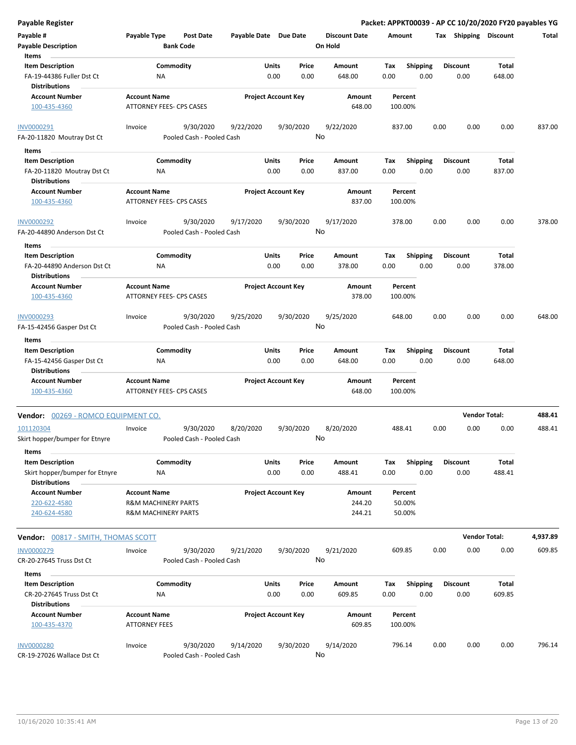| <b>Payable Register</b>             |                                 |                           |                            |       |           |                      |         |                 |      |                       | Packet: APPKT00039 - AP CC 10/20/2020 FY20 payables YG |          |
|-------------------------------------|---------------------------------|---------------------------|----------------------------|-------|-----------|----------------------|---------|-----------------|------|-----------------------|--------------------------------------------------------|----------|
| Payable #                           | Payable Type                    | <b>Post Date</b>          | Payable Date Due Date      |       |           | <b>Discount Date</b> | Amount  |                 |      | Tax Shipping Discount |                                                        | Total    |
| <b>Payable Description</b>          | <b>Bank Code</b>                |                           |                            |       |           | On Hold              |         |                 |      |                       |                                                        |          |
| Items                               |                                 |                           |                            |       |           |                      |         |                 |      |                       |                                                        |          |
| <b>Item Description</b>             | Commodity                       |                           |                            | Units | Price     | Amount               | Tax     | Shipping        |      | <b>Discount</b>       | Total                                                  |          |
| FA-19-44386 Fuller Dst Ct           | ΝA                              |                           |                            | 0.00  | 0.00      | 648.00               | 0.00    | 0.00            |      | 0.00                  | 648.00                                                 |          |
| <b>Distributions</b>                |                                 |                           |                            |       |           |                      |         |                 |      |                       |                                                        |          |
|                                     |                                 |                           |                            |       |           |                      |         |                 |      |                       |                                                        |          |
| <b>Account Number</b>               | <b>Account Name</b>             |                           | <b>Project Account Key</b> |       |           | Amount               |         | Percent         |      |                       |                                                        |          |
| 100-435-4360                        | ATTORNEY FEES- CPS CASES        |                           |                            |       |           | 648.00               | 100.00% |                 |      |                       |                                                        |          |
| INV0000291                          | Invoice                         | 9/30/2020                 | 9/22/2020                  |       | 9/30/2020 | 9/22/2020            | 837.00  |                 | 0.00 | 0.00                  | 0.00                                                   | 837.00   |
|                                     |                                 |                           |                            |       | No        |                      |         |                 |      |                       |                                                        |          |
| FA-20-11820 Moutray Dst Ct          |                                 | Pooled Cash - Pooled Cash |                            |       |           |                      |         |                 |      |                       |                                                        |          |
| Items                               |                                 |                           |                            |       |           |                      |         |                 |      |                       |                                                        |          |
| <b>Item Description</b>             | Commodity                       |                           |                            | Units | Price     | Amount               | Tax     | <b>Shipping</b> |      | <b>Discount</b>       | Total                                                  |          |
| FA-20-11820 Moutray Dst Ct          | ΝA                              |                           |                            | 0.00  | 0.00      | 837.00               | 0.00    | 0.00            |      | 0.00                  | 837.00                                                 |          |
| <b>Distributions</b>                |                                 |                           |                            |       |           |                      |         |                 |      |                       |                                                        |          |
| <b>Account Number</b>               | <b>Account Name</b>             |                           | <b>Project Account Key</b> |       |           | Amount               |         | Percent         |      |                       |                                                        |          |
| 100-435-4360                        | <b>ATTORNEY FEES- CPS CASES</b> |                           |                            |       |           | 837.00               | 100.00% |                 |      |                       |                                                        |          |
|                                     |                                 |                           |                            |       |           |                      |         |                 |      |                       |                                                        |          |
| INV0000292                          | Invoice                         | 9/30/2020                 | 9/17/2020                  |       | 9/30/2020 | 9/17/2020            | 378.00  |                 | 0.00 | 0.00                  | 0.00                                                   | 378.00   |
| FA-20-44890 Anderson Dst Ct         |                                 | Pooled Cash - Pooled Cash |                            |       |           | No                   |         |                 |      |                       |                                                        |          |
| Items                               |                                 |                           |                            |       |           |                      |         |                 |      |                       |                                                        |          |
| <b>Item Description</b>             | Commodity                       |                           |                            | Units | Price     | Amount               | Tax     | <b>Shipping</b> |      | <b>Discount</b>       | Total                                                  |          |
| FA-20-44890 Anderson Dst Ct         | NA                              |                           |                            | 0.00  | 0.00      | 378.00               | 0.00    | 0.00            |      | 0.00                  | 378.00                                                 |          |
| <b>Distributions</b>                |                                 |                           |                            |       |           |                      |         |                 |      |                       |                                                        |          |
|                                     |                                 |                           |                            |       |           |                      |         |                 |      |                       |                                                        |          |
| <b>Account Number</b>               | <b>Account Name</b>             |                           | <b>Project Account Key</b> |       |           | Amount               |         | Percent         |      |                       |                                                        |          |
| 100-435-4360                        | ATTORNEY FEES- CPS CASES        |                           |                            |       |           | 378.00               | 100.00% |                 |      |                       |                                                        |          |
|                                     |                                 |                           |                            |       |           |                      |         |                 |      |                       |                                                        |          |
| INV0000293                          | Invoice                         | 9/30/2020                 | 9/25/2020                  |       | 9/30/2020 | 9/25/2020            | 648.00  |                 | 0.00 | 0.00                  | 0.00                                                   | 648.00   |
| FA-15-42456 Gasper Dst Ct           |                                 | Pooled Cash - Pooled Cash |                            |       |           | No                   |         |                 |      |                       |                                                        |          |
| Items                               |                                 |                           |                            |       |           |                      |         |                 |      |                       |                                                        |          |
| <b>Item Description</b>             | Commodity                       |                           |                            | Units | Price     | Amount               | Tax     | <b>Shipping</b> |      | <b>Discount</b>       | Total                                                  |          |
| FA-15-42456 Gasper Dst Ct           | ΝA                              |                           |                            | 0.00  | 0.00      | 648.00               | 0.00    | 0.00            |      | 0.00                  | 648.00                                                 |          |
| <b>Distributions</b>                |                                 |                           |                            |       |           |                      |         |                 |      |                       |                                                        |          |
| <b>Account Number</b>               | <b>Account Name</b>             |                           | <b>Project Account Key</b> |       |           | Amount               |         | Percent         |      |                       |                                                        |          |
| 100-435-4360                        | ATTORNEY FEES- CPS CASES        |                           |                            |       |           | 648.00               | 100.00% |                 |      |                       |                                                        |          |
|                                     |                                 |                           |                            |       |           |                      |         |                 |      |                       |                                                        |          |
| Vendor: 00269 - ROMCO EQUIPMENT CO. |                                 |                           |                            |       |           |                      |         |                 |      | <b>Vendor Total:</b>  |                                                        | 488.41   |
| 101120304                           | Invoice                         | 9/30/2020                 | 8/20/2020                  |       | 9/30/2020 | 8/20/2020            | 488.41  |                 | 0.00 | 0.00                  | 0.00                                                   | 488.41   |
| Skirt hopper/bumper for Etnyre      |                                 | Pooled Cash - Pooled Cash |                            |       |           | No.                  |         |                 |      |                       |                                                        |          |
| Items                               |                                 |                           |                            |       |           |                      |         |                 |      |                       |                                                        |          |
| <b>Item Description</b>             | Commodity                       |                           |                            | Units | Price     | Amount               | Tax     | <b>Shipping</b> |      | <b>Discount</b>       | Total                                                  |          |
| Skirt hopper/bumper for Etnyre      | ΝA                              |                           |                            | 0.00  | 0.00      | 488.41               | 0.00    | 0.00            |      | 0.00                  | 488.41                                                 |          |
| <b>Distributions</b>                |                                 |                           |                            |       |           |                      |         |                 |      |                       |                                                        |          |
| <b>Account Number</b>               | <b>Account Name</b>             |                           | <b>Project Account Key</b> |       |           | Amount               |         | Percent         |      |                       |                                                        |          |
| 220-622-4580                        |                                 |                           |                            |       |           |                      |         |                 |      |                       |                                                        |          |
|                                     | <b>R&amp;M MACHINERY PARTS</b>  |                           |                            |       |           | 244.20               |         | 50.00%          |      |                       |                                                        |          |
| 240-624-4580                        | <b>R&amp;M MACHINERY PARTS</b>  |                           |                            |       |           | 244.21               |         | 50.00%          |      |                       |                                                        |          |
|                                     |                                 |                           |                            |       |           |                      |         |                 |      |                       |                                                        |          |
| Vendor: 00817 - SMITH, THOMAS SCOTT |                                 |                           |                            |       |           |                      |         |                 |      | <b>Vendor Total:</b>  |                                                        | 4,937.89 |
| <b>INV0000279</b>                   | Invoice                         | 9/30/2020                 | 9/21/2020                  |       | 9/30/2020 | 9/21/2020            | 609.85  |                 | 0.00 | 0.00                  | 0.00                                                   | 609.85   |
| CR-20-27645 Truss Dst Ct            |                                 | Pooled Cash - Pooled Cash |                            |       |           | No                   |         |                 |      |                       |                                                        |          |
| Items                               |                                 |                           |                            |       |           |                      |         |                 |      |                       |                                                        |          |
| <b>Item Description</b>             | Commodity                       |                           |                            | Units | Price     | Amount               | Tax     | <b>Shipping</b> |      | <b>Discount</b>       | Total                                                  |          |
| CR-20-27645 Truss Dst Ct            | ΝA                              |                           |                            | 0.00  | 0.00      | 609.85               | 0.00    | 0.00            |      | 0.00                  | 609.85                                                 |          |
| <b>Distributions</b>                |                                 |                           |                            |       |           |                      |         |                 |      |                       |                                                        |          |
| <b>Account Number</b>               | <b>Account Name</b>             |                           | <b>Project Account Key</b> |       |           | Amount               |         | Percent         |      |                       |                                                        |          |
| 100-435-4370                        | <b>ATTORNEY FEES</b>            |                           |                            |       |           | 609.85               | 100.00% |                 |      |                       |                                                        |          |
|                                     |                                 |                           |                            |       |           |                      |         |                 |      |                       |                                                        |          |
| <b>INV0000280</b>                   | Invoice                         | 9/30/2020                 | 9/14/2020                  |       | 9/30/2020 | 9/14/2020            | 796.14  |                 | 0.00 | 0.00                  | 0.00                                                   | 796.14   |
| CR-19-27026 Wallace Dst Ct          |                                 | Pooled Cash - Pooled Cash |                            |       |           | No                   |         |                 |      |                       |                                                        |          |
|                                     |                                 |                           |                            |       |           |                      |         |                 |      |                       |                                                        |          |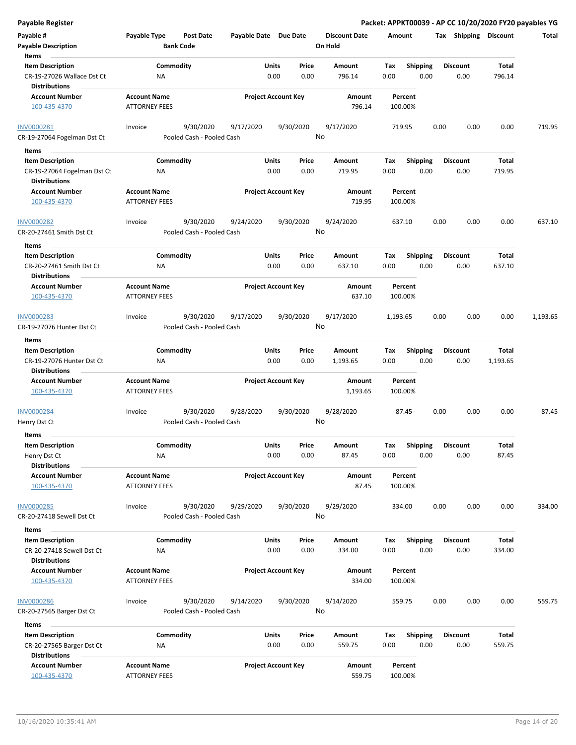| <b>Payable Register</b>                                                       |                                             |                                        |                       |                            |               |                                 |             |                         |      |                         |                 | Packet: APPKT00039 - AP CC 10/20/2020 FY20 payables YG |
|-------------------------------------------------------------------------------|---------------------------------------------|----------------------------------------|-----------------------|----------------------------|---------------|---------------------------------|-------------|-------------------------|------|-------------------------|-----------------|--------------------------------------------------------|
| Payable #<br><b>Payable Description</b>                                       | Payable Type                                | <b>Post Date</b><br><b>Bank Code</b>   | Payable Date Due Date |                            |               | <b>Discount Date</b><br>On Hold | Amount      |                         |      | Tax Shipping Discount   |                 | Total                                                  |
| Items                                                                         |                                             |                                        |                       |                            |               |                                 |             |                         |      |                         |                 |                                                        |
| <b>Item Description</b><br>CR-19-27026 Wallace Dst Ct<br><b>Distributions</b> | ΝA                                          | Commodity                              |                       | Units<br>0.00              | Price<br>0.00 | <b>Amount</b><br>796.14         | Tax<br>0.00 | Shipping<br>0.00        |      | <b>Discount</b><br>0.00 | Total<br>796.14 |                                                        |
| <b>Account Number</b>                                                         | <b>Account Name</b>                         |                                        |                       | <b>Project Account Key</b> |               | Amount                          |             | Percent                 |      |                         |                 |                                                        |
| 100-435-4370                                                                  | <b>ATTORNEY FEES</b>                        |                                        |                       |                            |               | 796.14                          |             | 100.00%                 |      |                         |                 |                                                        |
| INV0000281<br>CR-19-27064 Fogelman Dst Ct                                     | Invoice                                     | 9/30/2020<br>Pooled Cash - Pooled Cash | 9/17/2020             | 9/30/2020                  | No            | 9/17/2020                       | 719.95      |                         | 0.00 | 0.00                    | 0.00            | 719.95                                                 |
| Items                                                                         |                                             |                                        |                       |                            |               |                                 |             |                         |      |                         |                 |                                                        |
| <b>Item Description</b>                                                       |                                             | Commodity                              |                       | Units                      | Price         | Amount                          | Tax         | <b>Shipping</b>         |      | <b>Discount</b>         | <b>Total</b>    |                                                        |
| CR-19-27064 Fogelman Dst Ct<br><b>Distributions</b>                           | ΝA                                          |                                        |                       | 0.00                       | 0.00          | 719.95                          | 0.00        | 0.00                    |      | 0.00                    | 719.95          |                                                        |
| <b>Account Number</b>                                                         | <b>Account Name</b>                         |                                        |                       | <b>Project Account Key</b> |               | Amount                          |             | Percent                 |      |                         |                 |                                                        |
| 100-435-4370                                                                  | <b>ATTORNEY FEES</b>                        |                                        |                       |                            |               | 719.95                          |             | 100.00%                 |      |                         |                 |                                                        |
| <b>INV0000282</b><br>CR-20-27461 Smith Dst Ct                                 | Invoice                                     | 9/30/2020<br>Pooled Cash - Pooled Cash | 9/24/2020             | 9/30/2020                  | No            | 9/24/2020                       |             | 637.10                  | 0.00 | 0.00                    | 0.00            | 637.10                                                 |
| Items                                                                         |                                             |                                        |                       |                            |               |                                 |             |                         |      |                         |                 |                                                        |
| <b>Item Description</b><br>CR-20-27461 Smith Dst Ct<br><b>Distributions</b>   | NA                                          | Commodity                              |                       | Units<br>0.00              | Price<br>0.00 | Amount<br>637.10                | Tax<br>0.00 | <b>Shipping</b><br>0.00 |      | <b>Discount</b><br>0.00 | Total<br>637.10 |                                                        |
| <b>Account Number</b>                                                         | <b>Account Name</b>                         |                                        |                       | <b>Project Account Key</b> |               | <b>Amount</b>                   |             | Percent                 |      |                         |                 |                                                        |
| 100-435-4370                                                                  | <b>ATTORNEY FEES</b>                        |                                        |                       |                            |               | 637.10                          |             | 100.00%                 |      |                         |                 |                                                        |
| INV0000283                                                                    | Invoice                                     | 9/30/2020                              | 9/17/2020             | 9/30/2020                  |               | 9/17/2020                       | 1,193.65    |                         | 0.00 | 0.00                    | 0.00            | 1,193.65                                               |
| CR-19-27076 Hunter Dst Ct                                                     |                                             | Pooled Cash - Pooled Cash              |                       |                            | No            |                                 |             |                         |      |                         |                 |                                                        |
| Items                                                                         |                                             |                                        |                       |                            |               |                                 |             |                         |      |                         |                 |                                                        |
| <b>Item Description</b>                                                       |                                             | Commodity                              |                       | Units                      | Price         | Amount                          | Tax         | <b>Shipping</b>         |      | <b>Discount</b>         | Total           |                                                        |
| CR-19-27076 Hunter Dst Ct<br><b>Distributions</b>                             | ΝA                                          |                                        |                       | 0.00                       | 0.00          | 1,193.65                        | 0.00        | 0.00                    |      | 0.00                    | 1,193.65        |                                                        |
| <b>Account Number</b>                                                         | <b>Account Name</b>                         |                                        |                       | <b>Project Account Key</b> |               | Amount                          |             | Percent                 |      |                         |                 |                                                        |
| 100-435-4370                                                                  | <b>ATTORNEY FEES</b>                        |                                        |                       |                            |               | 1,193.65                        |             | 100.00%                 |      |                         |                 |                                                        |
| INV0000284                                                                    | Invoice                                     | 9/30/2020                              | 9/28/2020             | 9/30/2020                  |               | 9/28/2020                       |             | 87.45                   | 0.00 | 0.00                    | 0.00            | 87.45                                                  |
| Henry Dst Ct                                                                  |                                             | Pooled Cash - Pooled Cash              |                       |                            | No            |                                 |             |                         |      |                         |                 |                                                        |
| Items                                                                         |                                             |                                        |                       |                            |               |                                 |             |                         |      |                         |                 |                                                        |
| <b>Item Description</b>                                                       |                                             | Commodity                              |                       | Units                      | Price         | Amount                          | Tax         | Shipping                |      | <b>Discount</b>         | Total           |                                                        |
| Henry Dst Ct                                                                  | NA                                          |                                        |                       | 0.00                       | 0.00          | 87.45                           | 0.00        | 0.00                    |      | 0.00                    | 87.45           |                                                        |
| <b>Distributions</b>                                                          |                                             |                                        |                       |                            |               |                                 |             |                         |      |                         |                 |                                                        |
| <b>Account Number</b><br>100-435-4370                                         | <b>Account Name</b><br><b>ATTORNEY FEES</b> |                                        |                       | <b>Project Account Key</b> |               | Amount<br>87.45                 |             | Percent<br>100.00%      |      |                         |                 |                                                        |
| <b>INV0000285</b>                                                             | Invoice                                     | 9/30/2020                              | 9/29/2020             | 9/30/2020                  |               | 9/29/2020                       |             | 334.00                  | 0.00 | 0.00                    | 0.00            | 334.00                                                 |
| CR-20-27418 Sewell Dst Ct                                                     |                                             | Pooled Cash - Pooled Cash              |                       |                            | No            |                                 |             |                         |      |                         |                 |                                                        |
| Items                                                                         |                                             |                                        |                       |                            |               |                                 |             |                         |      |                         |                 |                                                        |
| <b>Item Description</b>                                                       |                                             | Commodity                              |                       | Units                      | Price         | Amount                          | Tax         | Shipping                |      | <b>Discount</b>         | Total           |                                                        |
| CR-20-27418 Sewell Dst Ct<br><b>Distributions</b>                             | NA                                          |                                        |                       | 0.00                       | 0.00          | 334.00                          | 0.00        | 0.00                    |      | 0.00                    | 334.00          |                                                        |
| <b>Account Number</b>                                                         | <b>Account Name</b>                         |                                        |                       | <b>Project Account Key</b> |               | Amount                          |             | Percent                 |      |                         |                 |                                                        |
| 100-435-4370                                                                  | <b>ATTORNEY FEES</b>                        |                                        |                       |                            |               | 334.00                          |             | 100.00%                 |      |                         |                 |                                                        |
| <b>INV0000286</b><br>CR-20-27565 Barger Dst Ct                                | Invoice                                     | 9/30/2020<br>Pooled Cash - Pooled Cash | 9/14/2020             | 9/30/2020                  | No            | 9/14/2020                       |             | 559.75                  | 0.00 | 0.00                    | 0.00            | 559.75                                                 |
| Items                                                                         |                                             |                                        |                       |                            |               |                                 |             |                         |      |                         |                 |                                                        |
| <b>Item Description</b>                                                       |                                             | Commodity                              |                       | Units                      | Price         | Amount                          | Tax         | <b>Shipping</b>         |      | <b>Discount</b>         | Total           |                                                        |
| CR-20-27565 Barger Dst Ct<br><b>Distributions</b>                             | ΝA                                          |                                        |                       | 0.00                       | 0.00          | 559.75                          | 0.00        | 0.00                    |      | 0.00                    | 559.75          |                                                        |
| <b>Account Number</b>                                                         | <b>Account Name</b>                         |                                        |                       | <b>Project Account Key</b> |               | Amount                          |             | Percent                 |      |                         |                 |                                                        |
| 100-435-4370                                                                  | <b>ATTORNEY FEES</b>                        |                                        |                       |                            |               | 559.75                          |             | 100.00%                 |      |                         |                 |                                                        |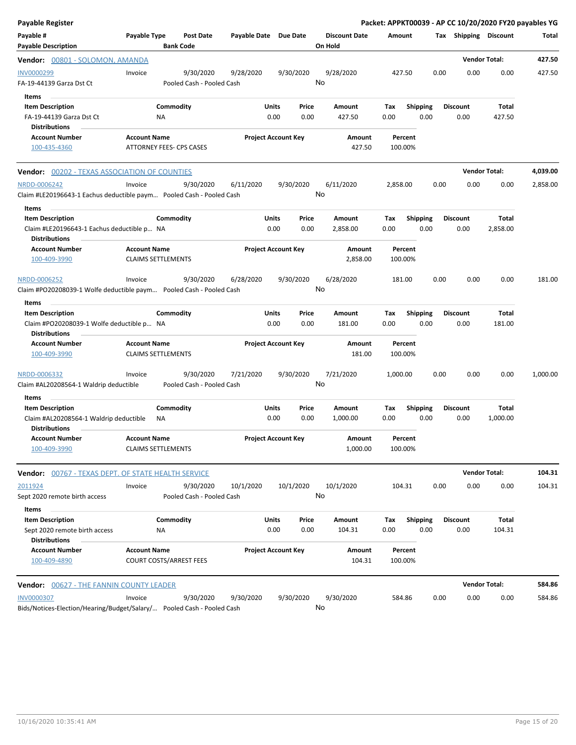| <b>Payable Register</b>                                                                                |                                                  |                                        |                       |                            |                                 |                    |                         |                         | Packet: APPKT00039 - AP CC 10/20/2020 FY20 payables YG |          |
|--------------------------------------------------------------------------------------------------------|--------------------------------------------------|----------------------------------------|-----------------------|----------------------------|---------------------------------|--------------------|-------------------------|-------------------------|--------------------------------------------------------|----------|
| Payable #<br><b>Payable Description</b>                                                                | Payable Type                                     | Post Date<br><b>Bank Code</b>          | Payable Date Due Date |                            | <b>Discount Date</b><br>On Hold | Amount             |                         | Tax Shipping Discount   |                                                        | Total    |
| <b>Vendor: 00801 - SOLOMON, AMANDA</b>                                                                 |                                                  |                                        |                       |                            |                                 |                    |                         |                         | <b>Vendor Total:</b>                                   | 427.50   |
| INV0000299<br>FA-19-44139 Garza Dst Ct                                                                 | Invoice                                          | 9/30/2020<br>Pooled Cash - Pooled Cash | 9/28/2020             | 9/30/2020                  | 9/28/2020<br>No                 | 427.50             | 0.00                    | 0.00                    | 0.00                                                   | 427.50   |
| Items<br><b>Item Description</b><br>FA-19-44139 Garza Dst Ct<br>Distributions                          |                                                  | Commodity<br>ΝA                        | Units                 | Price<br>0.00<br>0.00      | Amount<br>427.50                | Tax<br>0.00        | <b>Shipping</b><br>0.00 | <b>Discount</b><br>0.00 | Total<br>427.50                                        |          |
| <b>Account Number</b><br>100-435-4360                                                                  | <b>Account Name</b>                              | ATTORNEY FEES- CPS CASES               |                       | <b>Project Account Key</b> | Amount<br>427.50                | Percent<br>100.00% |                         |                         |                                                        |          |
| <b>Vendor: 00202 - TEXAS ASSOCIATION OF COUNTIES</b>                                                   |                                                  |                                        |                       |                            |                                 |                    |                         |                         | <b>Vendor Total:</b>                                   | 4,039.00 |
| NRDD-0006242<br>Claim #LE20196643-1 Eachus deductible paym Pooled Cash - Pooled Cash                   | Invoice                                          | 9/30/2020                              | 6/11/2020             | 9/30/2020                  | 6/11/2020<br>No                 | 2,858.00           | 0.00                    | 0.00                    | 0.00                                                   | 2,858.00 |
| Items<br><b>Item Description</b><br>Claim #LE20196643-1 Eachus deductible p NA<br><b>Distributions</b> |                                                  | Commodity                              | <b>Units</b>          | Price<br>0.00<br>0.00      | Amount<br>2,858.00              | Tax<br>0.00        | <b>Shipping</b><br>0.00 | <b>Discount</b><br>0.00 | Total<br>2,858.00                                      |          |
| <b>Account Number</b><br>100-409-3990                                                                  | <b>Account Name</b>                              | <b>CLAIMS SETTLEMENTS</b>              |                       | <b>Project Account Key</b> | Amount<br>2,858.00              | Percent<br>100.00% |                         |                         |                                                        |          |
| NRDD-0006252<br>Claim #PO20208039-1 Wolfe deductible paym Pooled Cash - Pooled Cash                    | Invoice                                          | 9/30/2020                              | 6/28/2020             | 9/30/2020                  | 6/28/2020<br>No                 | 181.00             | 0.00                    | 0.00                    | 0.00                                                   | 181.00   |
| Items                                                                                                  |                                                  |                                        |                       |                            |                                 |                    |                         |                         |                                                        |          |
| <b>Item Description</b><br>Claim #PO20208039-1 Wolfe deductible p NA<br><b>Distributions</b>           |                                                  | Commodity                              | <b>Units</b>          | Price<br>0.00<br>0.00      | Amount<br>181.00                | Tax<br>0.00        | <b>Shipping</b><br>0.00 | <b>Discount</b><br>0.00 | Total<br>181.00                                        |          |
| <b>Account Number</b><br>100-409-3990                                                                  | <b>Account Name</b><br><b>CLAIMS SETTLEMENTS</b> |                                        |                       | <b>Project Account Key</b> | Amount<br>181.00                | Percent<br>100.00% |                         |                         |                                                        |          |
| NRDD-0006332<br>Claim #AL20208564-1 Waldrip deductible                                                 | Invoice                                          | 9/30/2020<br>Pooled Cash - Pooled Cash | 7/21/2020             | 9/30/2020                  | 7/21/2020<br>No                 | 1,000.00           | 0.00                    | 0.00                    | 0.00                                                   | 1,000.00 |
| Items<br><b>Item Description</b>                                                                       |                                                  | Commodity                              | <b>Units</b>          | Price                      | Amount                          | Тах                | <b>Shipping</b>         | <b>Discount</b>         | Total                                                  |          |
| Claim #AL20208564-1 Waldrip deductible<br>Distributions                                                |                                                  | ΝA                                     |                       | 0.00<br>0.00               | 1,000.00                        | 0.00               | 0.00                    | 0.00                    | 1,000.00                                               |          |
| <b>Account Number</b><br>100-409-3990                                                                  | <b>Account Name</b>                              | <b>CLAIMS SETTLEMENTS</b>              |                       | <b>Project Account Kev</b> | Amount<br>1,000.00              | Percent<br>100.00% |                         |                         |                                                        |          |
| <b>Vendor:</b> 00767 - TEXAS DEPT. OF STATE HEALTH SERVICE                                             |                                                  |                                        |                       |                            |                                 |                    |                         |                         | <b>Vendor Total:</b>                                   | 104.31   |
| 2011924<br>Sept 2020 remote birth access                                                               | Invoice                                          | 9/30/2020<br>Pooled Cash - Pooled Cash | 10/1/2020             | 10/1/2020                  | 10/1/2020<br>No                 | 104.31             | 0.00                    | 0.00                    | 0.00                                                   | 104.31   |
| Items<br><b>Item Description</b><br>Sept 2020 remote birth access<br><b>Distributions</b>              |                                                  | Commodity<br>ΝA                        | <b>Units</b>          | Price<br>0.00<br>0.00      | Amount<br>104.31                | Тах<br>0.00        | <b>Shipping</b><br>0.00 | <b>Discount</b><br>0.00 | Total<br>104.31                                        |          |
| <b>Account Number</b><br>100-409-4890                                                                  | <b>Account Name</b>                              | <b>COURT COSTS/ARREST FEES</b>         |                       | <b>Project Account Key</b> | Amount<br>104.31                | Percent<br>100.00% |                         |                         |                                                        |          |
| <b>Vendor: 00627 - THE FANNIN COUNTY LEADER</b>                                                        |                                                  |                                        |                       |                            |                                 |                    |                         |                         | <b>Vendor Total:</b>                                   | 584.86   |
| <b>INV0000307</b><br>Bids/Notices-Election/Hearing/Budget/Salary/ Pooled Cash - Pooled Cash            | Invoice                                          | 9/30/2020                              | 9/30/2020             | 9/30/2020                  | 9/30/2020<br>No                 | 584.86             | 0.00                    | 0.00                    | 0.00                                                   | 584.86   |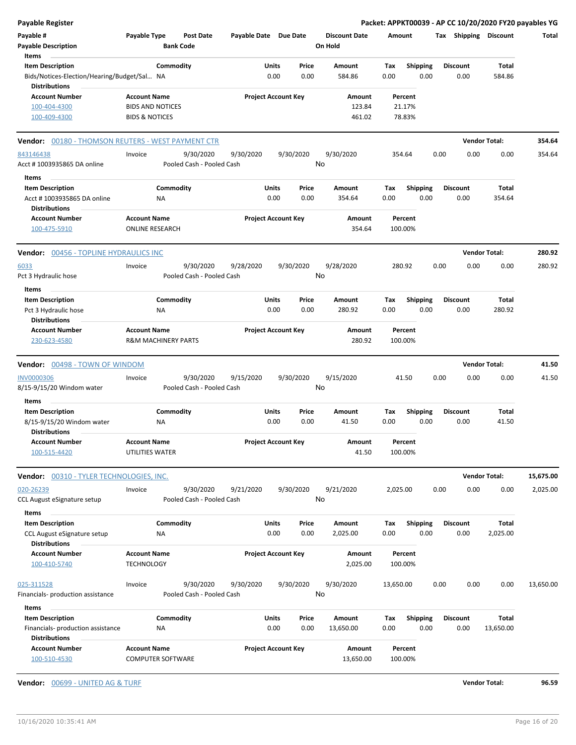| <b>Payable Register</b>                                             |                                                       |                           |                       |                            |                      |           |                 |      |                       |                      | Packet: APPKT00039 - AP CC 10/20/2020 FY20 payables YG |
|---------------------------------------------------------------------|-------------------------------------------------------|---------------------------|-----------------------|----------------------------|----------------------|-----------|-----------------|------|-----------------------|----------------------|--------------------------------------------------------|
| Payable #                                                           | Payable Type                                          | <b>Post Date</b>          | Payable Date Due Date |                            | <b>Discount Date</b> | Amount    |                 |      | Tax Shipping Discount |                      | Total                                                  |
| <b>Payable Description</b>                                          |                                                       | <b>Bank Code</b>          |                       |                            | On Hold              |           |                 |      |                       |                      |                                                        |
| Items                                                               |                                                       |                           |                       |                            |                      |           |                 |      |                       |                      |                                                        |
| <b>Item Description</b>                                             | Commodity                                             |                           |                       | Units<br>Price             | <b>Amount</b>        | Tax       | <b>Shipping</b> |      | <b>Discount</b>       | Total                |                                                        |
| Bids/Notices-Election/Hearing/Budget/Sal NA<br><b>Distributions</b> |                                                       |                           |                       | 0.00<br>0.00               | 584.86               | 0.00      | 0.00            |      | 0.00                  | 584.86               |                                                        |
| <b>Account Number</b>                                               | <b>Account Name</b>                                   |                           |                       | <b>Project Account Key</b> | Amount               |           | Percent         |      |                       |                      |                                                        |
| 100-404-4300                                                        | <b>BIDS AND NOTICES</b>                               |                           |                       |                            | 123.84               |           | 21.17%          |      |                       |                      |                                                        |
| 100-409-4300                                                        | <b>BIDS &amp; NOTICES</b>                             |                           |                       |                            | 461.02               |           | 78.83%          |      |                       |                      |                                                        |
| Vendor: 00180 - THOMSON REUTERS - WEST PAYMENT CTR                  |                                                       |                           |                       |                            |                      |           |                 |      |                       | <b>Vendor Total:</b> | 354.64                                                 |
| 843146438                                                           | Invoice                                               | 9/30/2020                 | 9/30/2020             | 9/30/2020                  | 9/30/2020            | 354.64    |                 | 0.00 | 0.00                  | 0.00                 | 354.64                                                 |
| Acct # 1003935865 DA online                                         |                                                       | Pooled Cash - Pooled Cash |                       |                            | No                   |           |                 |      |                       |                      |                                                        |
| Items                                                               |                                                       |                           |                       |                            |                      |           |                 |      |                       |                      |                                                        |
| <b>Item Description</b>                                             | Commodity                                             |                           |                       | Units<br>Price             | Amount               | Tax       | <b>Shipping</b> |      | <b>Discount</b>       | Total                |                                                        |
| Acct # 1003935865 DA online<br><b>Distributions</b>                 | ΝA                                                    |                           |                       | 0.00<br>0.00               | 354.64               | 0.00      | 0.00            |      | 0.00                  | 354.64               |                                                        |
| <b>Account Number</b>                                               | <b>Account Name</b>                                   |                           |                       | <b>Project Account Key</b> | Amount               |           | Percent         |      |                       |                      |                                                        |
| 100-475-5910                                                        | <b>ONLINE RESEARCH</b>                                |                           |                       |                            | 354.64               | 100.00%   |                 |      |                       |                      |                                                        |
| Vendor: 00456 - TOPLINE HYDRAULICS INC                              |                                                       |                           |                       |                            |                      |           |                 |      |                       | <b>Vendor Total:</b> | 280.92                                                 |
| 6033                                                                | Invoice                                               | 9/30/2020                 | 9/28/2020             | 9/30/2020                  | 9/28/2020            | 280.92    |                 | 0.00 | 0.00                  | 0.00                 | 280.92                                                 |
| Pct 3 Hydraulic hose                                                |                                                       | Pooled Cash - Pooled Cash |                       |                            | No                   |           |                 |      |                       |                      |                                                        |
| Items                                                               |                                                       |                           |                       |                            |                      |           |                 |      |                       |                      |                                                        |
| <b>Item Description</b>                                             | Commodity                                             |                           |                       | Units<br>Price             | Amount               | Tax       | Shipping        |      | <b>Discount</b>       | Total                |                                                        |
| Pct 3 Hydraulic hose                                                | <b>NA</b>                                             |                           |                       | 0.00<br>0.00               | 280.92               | 0.00      | 0.00            |      | 0.00                  | 280.92               |                                                        |
| <b>Distributions</b>                                                |                                                       |                           |                       |                            |                      |           |                 |      |                       |                      |                                                        |
| <b>Account Number</b><br>230-623-4580                               | <b>Account Name</b><br><b>R&amp;M MACHINERY PARTS</b> |                           |                       | <b>Project Account Key</b> | Amount<br>280.92     | 100.00%   | Percent         |      |                       |                      |                                                        |
| Vendor: 00498 - TOWN OF WINDOM                                      |                                                       |                           |                       |                            |                      |           |                 |      |                       | <b>Vendor Total:</b> | 41.50                                                  |
| INV0000306                                                          | Invoice                                               | 9/30/2020                 | 9/15/2020             | 9/30/2020                  | 9/15/2020            |           | 41.50           | 0.00 | 0.00                  | 0.00                 | 41.50                                                  |
| 8/15-9/15/20 Windom water                                           |                                                       | Pooled Cash - Pooled Cash |                       |                            | No                   |           |                 |      |                       |                      |                                                        |
| Items                                                               |                                                       |                           |                       |                            |                      |           |                 |      |                       |                      |                                                        |
| <b>Item Description</b>                                             | Commodity                                             |                           |                       | Units<br>Price             | Amount               | Tax       | <b>Shipping</b> |      | <b>Discount</b>       | Total                |                                                        |
| 8/15-9/15/20 Windom water                                           | <b>NA</b>                                             |                           |                       | 0.00<br>0.00               | 41.50                | 0.00      | 0.00            |      | 0.00                  | 41.50                |                                                        |
| <b>Distributions</b>                                                |                                                       |                           |                       |                            |                      |           |                 |      |                       |                      |                                                        |
| <b>Account Number</b><br>100-515-4420                               | Account Name<br>UTILITIES WATER                       |                           |                       | <b>Project Account Key</b> | Amount<br>41.50      | 100.00%   | Percent         |      |                       |                      |                                                        |
| Vendor: 00310 - TYLER TECHNOLOGIES, INC.                            |                                                       |                           |                       |                            |                      |           |                 |      |                       | <b>Vendor Total:</b> | 15,675.00                                              |
| 020-26239                                                           | Invoice                                               | 9/30/2020                 | 9/21/2020             | 9/30/2020                  | 9/21/2020            | 2,025.00  |                 | 0.00 | 0.00                  | 0.00                 | 2,025.00                                               |
| CCL August eSignature setup                                         |                                                       | Pooled Cash - Pooled Cash |                       |                            | No                   |           |                 |      |                       |                      |                                                        |
| Items                                                               |                                                       |                           |                       |                            |                      |           |                 |      |                       |                      |                                                        |
| <b>Item Description</b>                                             | Commodity                                             |                           |                       | Units<br>Price             | Amount               | Tax       | <b>Shipping</b> |      | <b>Discount</b>       | Total                |                                                        |
| CCL August eSignature setup<br><b>Distributions</b>                 | <b>NA</b>                                             |                           |                       | 0.00<br>0.00               | 2,025.00             | 0.00      | 0.00            |      | 0.00                  | 2,025.00             |                                                        |
| <b>Account Number</b>                                               | <b>Account Name</b>                                   |                           |                       | <b>Project Account Key</b> | Amount               |           | Percent         |      |                       |                      |                                                        |
| 100-410-5740                                                        | <b>TECHNOLOGY</b>                                     |                           |                       |                            | 2,025.00             | 100.00%   |                 |      |                       |                      |                                                        |
| 025-311528                                                          | Invoice                                               | 9/30/2020                 | 9/30/2020             | 9/30/2020                  | 9/30/2020            | 13,650.00 |                 | 0.00 | 0.00                  | 0.00                 | 13,650.00                                              |
| Financials- production assistance                                   |                                                       | Pooled Cash - Pooled Cash |                       |                            | No                   |           |                 |      |                       |                      |                                                        |
| Items                                                               |                                                       |                           |                       |                            |                      |           |                 |      |                       |                      |                                                        |
| <b>Item Description</b>                                             | Commodity                                             |                           |                       | Units<br>Price             | Amount               | Tax       | <b>Shipping</b> |      | <b>Discount</b>       | Total                |                                                        |
| Financials- production assistance<br><b>Distributions</b>           | ΝA                                                    |                           |                       | 0.00<br>0.00               | 13,650.00            | 0.00      | 0.00            |      | 0.00                  | 13,650.00            |                                                        |
| <b>Account Number</b>                                               | <b>Account Name</b>                                   |                           |                       | <b>Project Account Key</b> | Amount               |           | Percent         |      |                       |                      |                                                        |
| 100-510-4530                                                        | COMPUTER SOFTWARE                                     |                           |                       |                            | 13,650.00            | 100.00%   |                 |      |                       |                      |                                                        |

**Vendor:** 00699 - UNITED AG & TURF **Vendor Total: 96.59**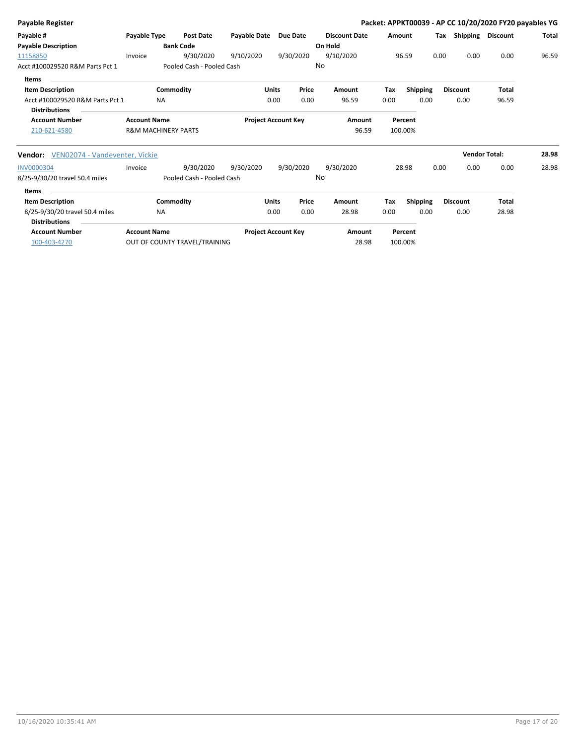| Total |
|-------|
|       |
|       |
| 96.59 |
|       |
|       |
|       |
|       |
|       |
|       |
|       |
| 28.98 |
| 28.98 |
|       |
|       |
|       |
|       |
|       |
|       |
|       |
|       |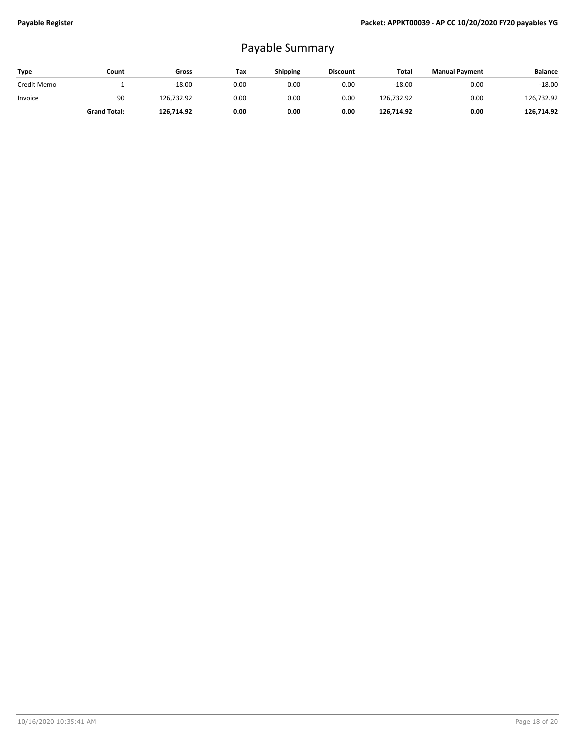## Payable Summary

| Type        | Count               | Gross      | Tax  | <b>Shipping</b> | <b>Discount</b> | Total      | <b>Manual Payment</b> | <b>Balance</b> |
|-------------|---------------------|------------|------|-----------------|-----------------|------------|-----------------------|----------------|
| Credit Memo |                     | $-18.00$   | 0.00 | 0.00            | 0.00            | $-18.00$   | 0.00                  | $-18.00$       |
| Invoice     | 90                  | 126,732.92 | 0.00 | 0.00            | 0.00            | 126,732.92 | 0.00                  | 126,732.92     |
|             | <b>Grand Total:</b> | 126,714.92 | 0.00 | 0.00            | 0.00            | 126,714.92 | 0.00                  | 126.714.92     |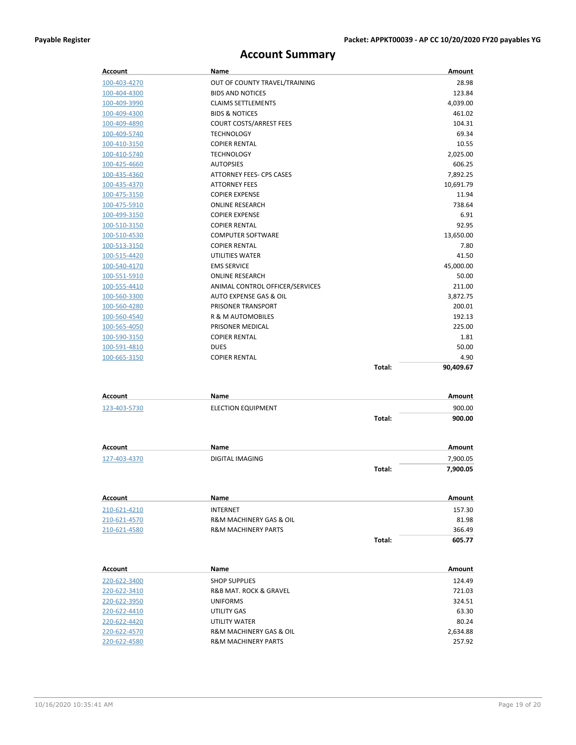## **Account Summary**

| Account                      | Name                                         |        | Amount             |
|------------------------------|----------------------------------------------|--------|--------------------|
| 100-403-4270                 | OUT OF COUNTY TRAVEL/TRAINING                |        | 28.98              |
| 100-404-4300                 | <b>BIDS AND NOTICES</b>                      |        | 123.84             |
| 100-409-3990                 | <b>CLAIMS SETTLEMENTS</b>                    |        | 4,039.00           |
| 100-409-4300                 | <b>BIDS &amp; NOTICES</b>                    |        | 461.02             |
| 100-409-4890                 | <b>COURT COSTS/ARREST FEES</b>               |        | 104.31             |
| 100-409-5740                 | <b>TECHNOLOGY</b>                            |        | 69.34              |
| 100-410-3150                 | <b>COPIER RENTAL</b>                         |        | 10.55              |
| 100-410-5740                 | <b>TECHNOLOGY</b>                            |        | 2,025.00           |
| 100-425-4660                 | <b>AUTOPSIES</b>                             |        | 606.25             |
| 100-435-4360                 | ATTORNEY FEES- CPS CASES                     |        | 7,892.25           |
| 100-435-4370                 | <b>ATTORNEY FEES</b>                         |        | 10,691.79          |
| 100-475-3150                 | <b>COPIER EXPENSE</b>                        |        | 11.94              |
| 100-475-5910                 | <b>ONLINE RESEARCH</b>                       |        | 738.64             |
| 100-499-3150                 | <b>COPIER EXPENSE</b>                        |        | 6.91               |
| 100-510-3150                 | <b>COPIER RENTAL</b>                         |        | 92.95              |
| 100-510-4530                 | <b>COMPUTER SOFTWARE</b>                     |        | 13,650.00          |
| 100-513-3150                 | <b>COPIER RENTAL</b>                         |        | 7.80               |
| 100-515-4420                 | UTILITIES WATER                              |        | 41.50              |
| 100-540-4170                 | <b>EMS SERVICE</b>                           |        | 45,000.00          |
| 100-551-5910                 | <b>ONLINE RESEARCH</b>                       |        | 50.00              |
| 100-555-4410                 | ANIMAL CONTROL OFFICER/SERVICES              |        | 211.00             |
| 100-560-3300                 | AUTO EXPENSE GAS & OIL<br>PRISONER TRANSPORT |        | 3,872.75<br>200.01 |
| 100-560-4280<br>100-560-4540 | R & M AUTOMOBILES                            |        | 192.13             |
| 100-565-4050                 | PRISONER MEDICAL                             |        | 225.00             |
| 100-590-3150                 | <b>COPIER RENTAL</b>                         |        | 1.81               |
| 100-591-4810                 | <b>DUES</b>                                  |        | 50.00              |
| 100-665-3150                 | <b>COPIER RENTAL</b>                         |        | 4.90               |
|                              |                                              | Total: | 90,409.67          |
|                              |                                              |        |                    |
| Account                      | Name                                         |        | Amount             |
|                              |                                              |        |                    |
| 123-403-5730                 | <b>ELECTION EQUIPMENT</b>                    | Total: | 900.00<br>900.00   |
|                              |                                              |        |                    |
|                              |                                              |        |                    |
| Account                      | Name                                         |        | Amount             |
| 127-403-4370                 | <b>DIGITAL IMAGING</b>                       |        | 7,900.05           |
|                              |                                              | Total: | 7,900.05           |
|                              |                                              |        |                    |
| Account                      | Name                                         |        | Amount             |
| 210-621-4210                 | <b>INTERNET</b>                              |        | 157.30             |
| 210-621-4570                 | <b>R&amp;M MACHINERY GAS &amp; OIL</b>       |        | 81.98              |
| 210-621-4580                 | <b>R&amp;M MACHINERY PARTS</b>               |        | 366.49             |
|                              |                                              | Total: | 605.77             |
|                              |                                              |        |                    |
| Account                      | Name                                         |        | Amount             |
| 220-622-3400                 | <b>SHOP SUPPLIES</b>                         |        | 124.49             |
| 220-622-3410                 | R&B MAT. ROCK & GRAVEL                       |        | 721.03             |
| 220-622-3950                 | UNIFORMS                                     |        | 324.51             |
| 220-622-4410                 | UTILITY GAS                                  |        | 63.30              |
| 220-622-4420                 | UTILITY WATER                                |        | 80.24              |
| 220-622-4570                 | R&M MACHINERY GAS & OIL                      |        | 2,634.88           |
| 220-622-4580                 | R&M MACHINERY PARTS                          |        | 257.92             |